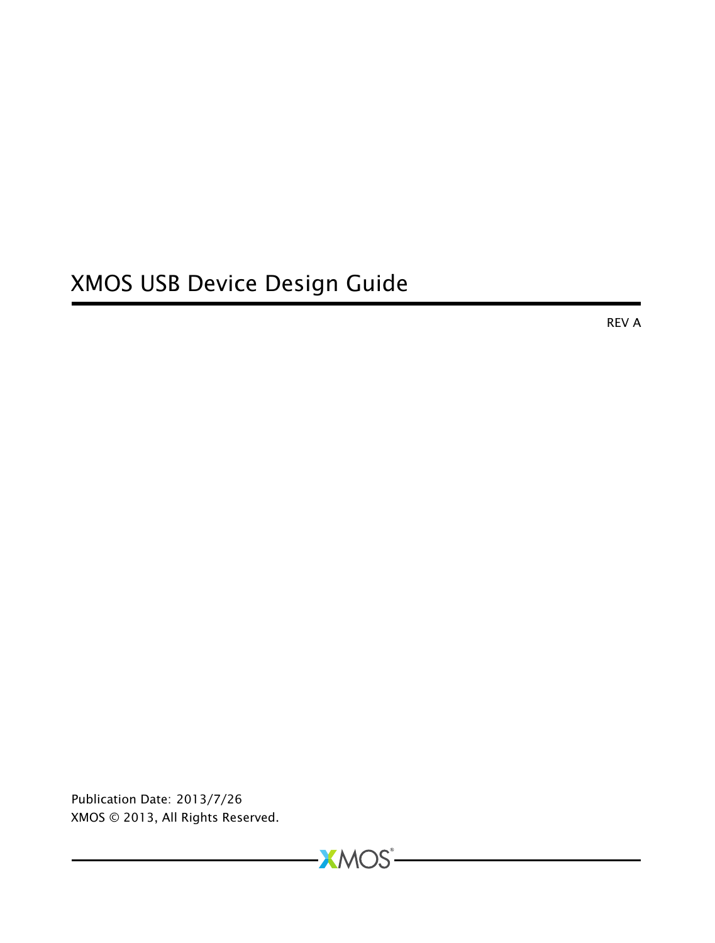# XMOS USB Device Design Guide

REV A

Publication Date: 2013/7/26 XMOS © 2013, All Rights Reserved.

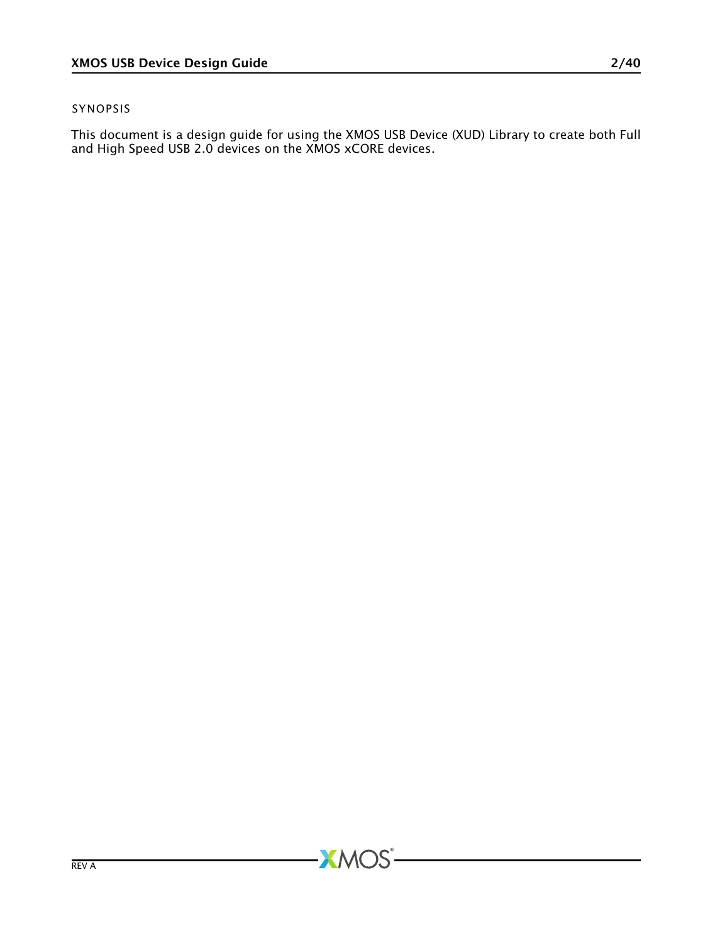#### SYNOPSIS

This document is a design guide for using the XMOS USB Device (XUD) Library to create both Full and High Speed USB 2.0 devices on the XMOS xCORE devices.

 $-MOS$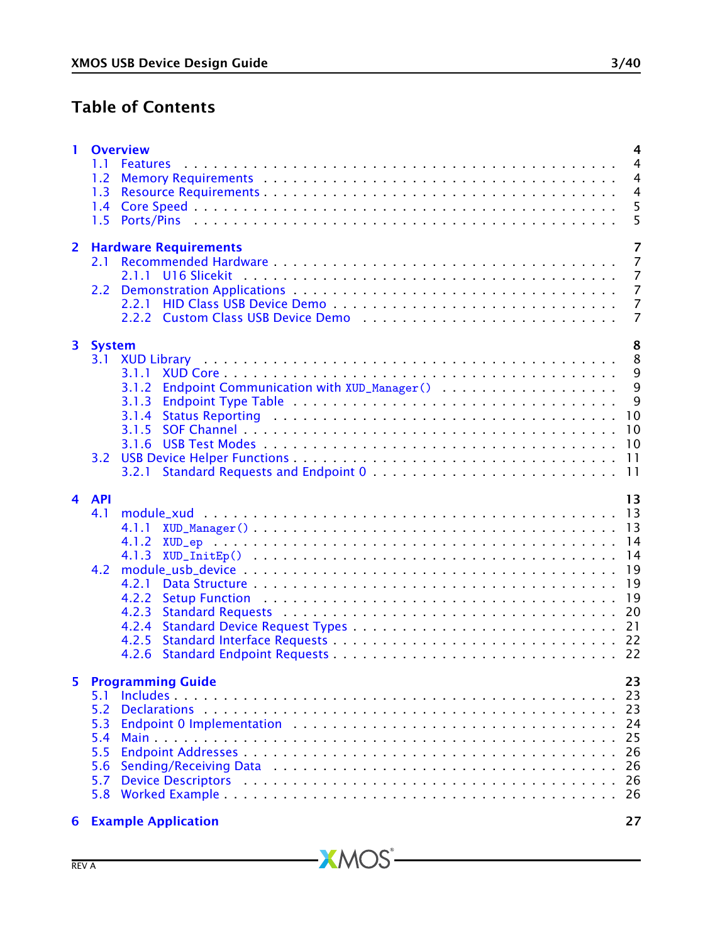# Table of Contents

| 1  | <b>Overview</b><br>4<br>$\overline{4}$<br>1.1<br>1.2<br>$\overline{4}$<br>$\overline{4}$<br>1.3                                                                          |
|----|--------------------------------------------------------------------------------------------------------------------------------------------------------------------------|
|    | 5<br>5<br>1.5                                                                                                                                                            |
| 2  | 7<br><b>Hardware Requirements</b><br>7<br>2.1<br>7<br>7<br>2.2<br>7<br>7                                                                                                 |
| 3. | 8<br>System<br>8<br>3.1<br>9<br>3.1.1<br>9<br>Endpoint Communication with XUD_Manager()<br>3.1.2<br>9<br>3.1.3<br>10<br>3.1.4<br>10<br>3.1.5<br>10<br>3.1.6<br>11<br>3.2 |
| 4  | 11<br>3.2.1<br>13<br><b>API</b><br>4.1<br>13<br>4.1.1<br>4.1.2<br>14<br>4.2<br><b>19</b><br>4.2.1<br>4.2.2<br>4.2.3<br>4.2.4<br>4.2.5<br>4.2.6                           |
| 5  | 23<br><b>Programming Guide</b><br>5.1<br>5.2<br>5.3<br>5.4<br>5.5<br>5.6<br>5.7<br>5.8                                                                                   |
| 6  | <b>Example Application</b><br>27                                                                                                                                         |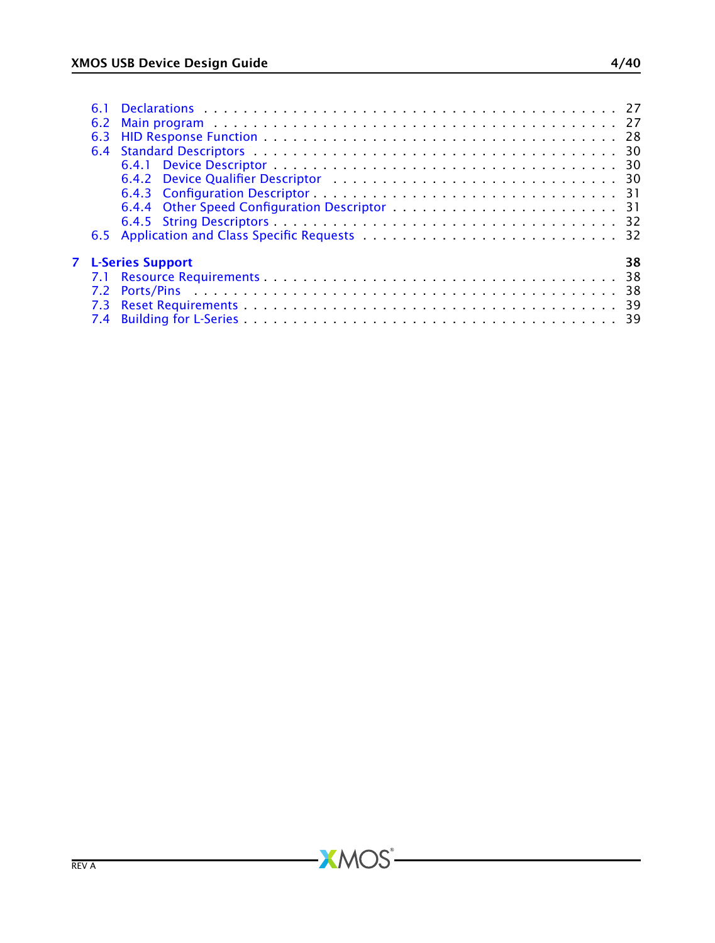|  | <b>7</b> L-Series Support<br>38 |
|--|---------------------------------|

-XMOS<sup>®</sup>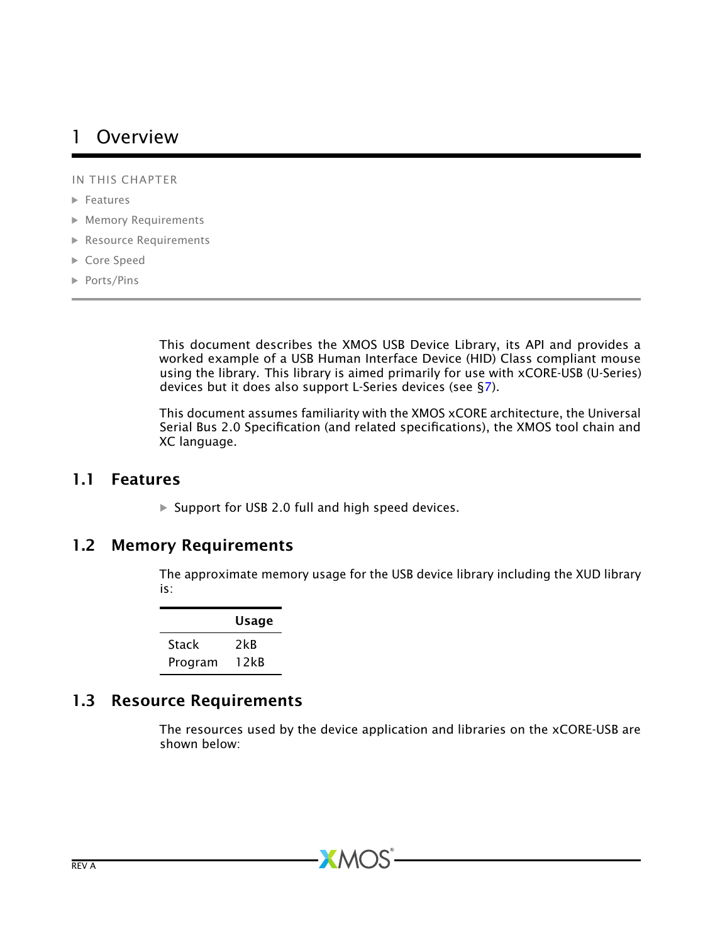# <span id="page-4-0"></span>1 Overview

IN THIS CHAPTER

- · [Features](#page-4-1)
- · [Memory Requirements](#page-4-2)
- · [Resource Requirements](#page-4-3)
- · [Core Speed](#page-5-0)
- · [Ports/Pins](#page-5-1)

This document describes the XMOS USB Device Library, its API and provides a worked example of a USB Human Interface Device (HID) Class compliant mouse using the library. This library is aimed primarily for use with xCORE-USB (U-Series) devices but it does also support L-Series devices (see [§7\)](#page-38-0).

This document assumes familiarity with the XMOS xCORE architecture, the Universal Serial Bus 2.0 Specification (and related specifications), the XMOS tool chain and XC language.

### 1.1 Features

<span id="page-4-2"></span><span id="page-4-1"></span> $\triangleright$  Support for USB 2.0 full and high speed devices.

## 1.2 Memory Requirements

The approximate memory usage for the USB device library including the XUD library is:

|         | Usage |
|---------|-------|
| Stack   | 2kB   |
| Program | 12kB  |

## 1.3 Resource Requirements

<span id="page-4-3"></span>The resources used by the device application and libraries on the xCORE-USB are shown below:

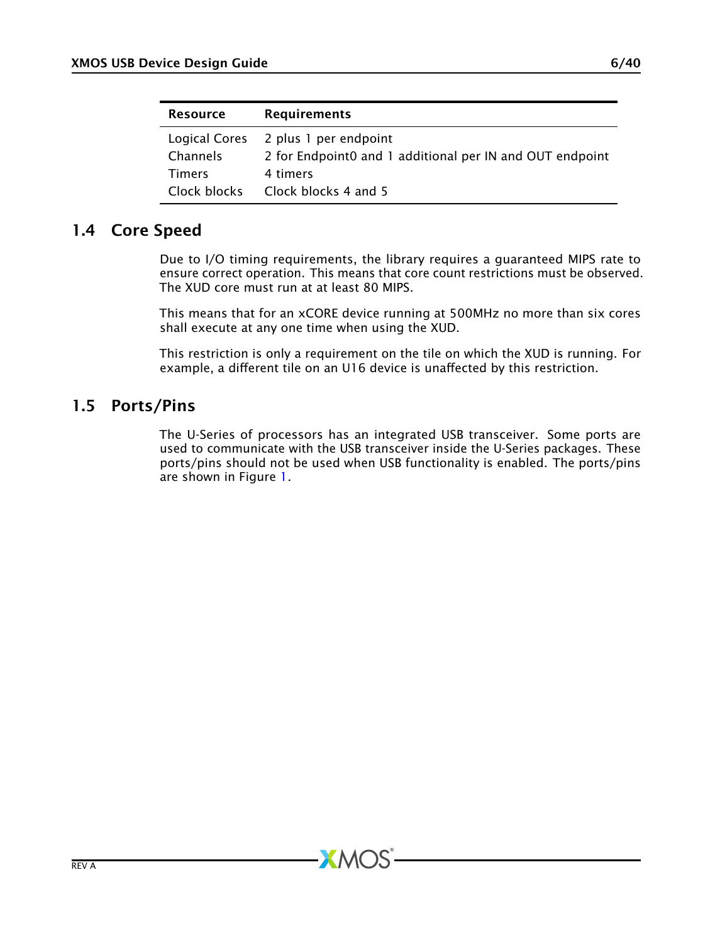| <b>Resource</b> | <b>Requirements</b>                                      |
|-----------------|----------------------------------------------------------|
|                 | Logical Cores 2 plus 1 per endpoint                      |
| Channels        | 2 for Endpoint0 and 1 additional per IN and OUT endpoint |
| Timers          | 4 timers                                                 |
| Clock blocks    | Clock blocks 4 and 5                                     |

## 1.4 Core Speed

<span id="page-5-0"></span>Due to I/O timing requirements, the library requires a guaranteed MIPS rate to ensure correct operation. This means that core count restrictions must be observed. The XUD core must run at at least 80 MIPS.

This means that for an xCORE device running at 500MHz no more than six cores shall execute at any one time when using the XUD.

<span id="page-5-1"></span>This restriction is only a requirement on the tile on which the XUD is running. For example, a different tile on an U16 device is unaffected by this restriction.

# 1.5 Ports/Pins

The U-Series of processors has an integrated USB transceiver. Some ports are used to communicate with the USB transceiver inside the U-Series packages. These ports/pins should not be used when USB functionality is enabled. The ports/pins are shown in Figure [1.](#page-6-0)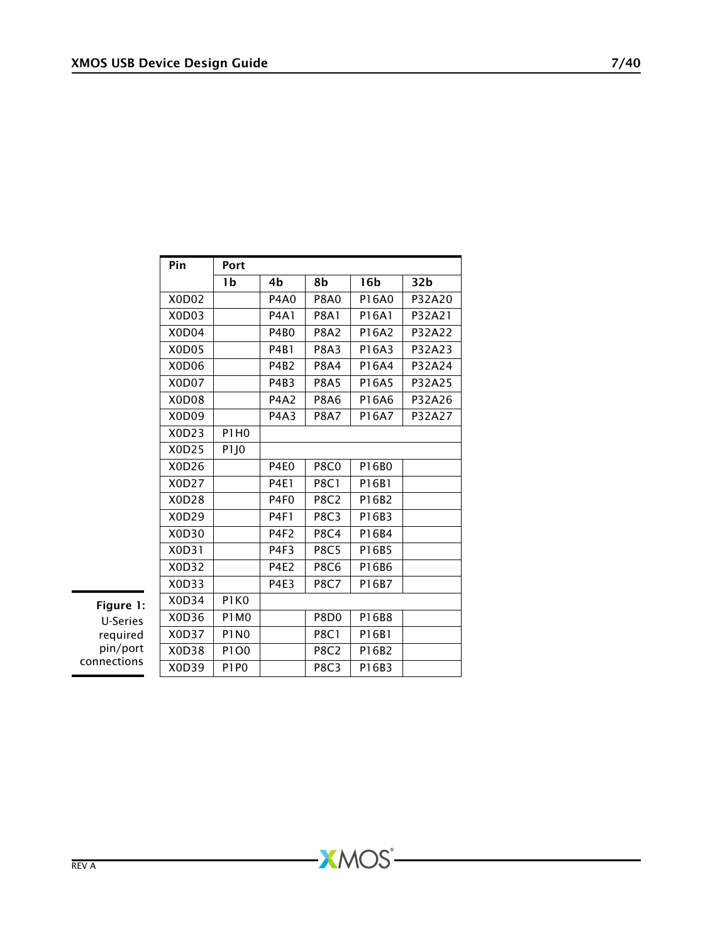| Pin                             | Port             |                  |                  |       |                 |
|---------------------------------|------------------|------------------|------------------|-------|-----------------|
|                                 | 1b               | 4b               | 8b               | 16b   | 32 <sub>b</sub> |
| X0D02                           |                  | <b>P4A0</b>      | <b>P8A0</b>      | P16A0 | P32A20          |
| X <sub>0</sub> D <sub>0</sub> 3 |                  | <b>P4A1</b>      | <b>P8A1</b>      | P16A1 | P32A21          |
| X0D04                           |                  | <b>P4B0</b>      | <b>P8A2</b>      | P16A2 | P32A22          |
| X <sub>0</sub> D <sub>05</sub>  |                  | <b>P4B1</b>      | <b>P8A3</b>      | P16A3 | P32A23          |
| X0D06                           |                  | <b>P4B2</b>      | <b>P8A4</b>      | P16A4 | P32A24          |
| X0D07                           |                  | P4B3             | <b>P8A5</b>      | P16A5 | P32A25          |
| X0D08                           |                  | <b>P4A2</b>      | <b>P8A6</b>      | P16A6 | P32A26          |
| X <sub>0</sub> D <sub>09</sub>  |                  | P4A3             | P8A7             | P16A7 | P32A27          |
| X0D23                           | P1H0             |                  |                  |       |                 |
| X0D25                           | P1J0             |                  |                  |       |                 |
| X0D26                           |                  | P4E <sub>0</sub> | <b>P8C0</b>      | P16B0 |                 |
| X0D27                           |                  | <b>P4E1</b>      | <b>P8C1</b>      | P16B1 |                 |
| X0D28                           |                  | P <sub>4F0</sub> | <b>P8C2</b>      | P16B2 |                 |
| X0D29                           |                  | <b>P4F1</b>      | <b>P8C3</b>      | P16B3 |                 |
| X0D30                           |                  | P4F2             | <b>P8C4</b>      | P16B4 |                 |
| X0D31                           |                  | P <sub>4F3</sub> | <b>P8C5</b>      | P16B5 |                 |
| X0D32                           |                  | <b>P4E2</b>      | <b>P8C6</b>      | P16B6 |                 |
| X0D33                           |                  | <b>P4E3</b>      | <b>P8C7</b>      | P16B7 |                 |
| X0D34                           | P1K0             |                  |                  |       |                 |
| X0D36                           | <b>P1M0</b>      |                  | P8D <sub>0</sub> | P16B8 |                 |
| X0D37                           | P1N <sub>0</sub> |                  | <b>P8C1</b>      | P16B1 |                 |
| X0D38                           | P1O0             |                  | <b>P8C2</b>      | P16B2 |                 |
| X0D39                           | <b>P1P0</b>      |                  | <b>P8C3</b>      | P16B3 |                 |

**XMOS** 

<span id="page-6-0"></span>Figure 1: U-Series required pin/port connections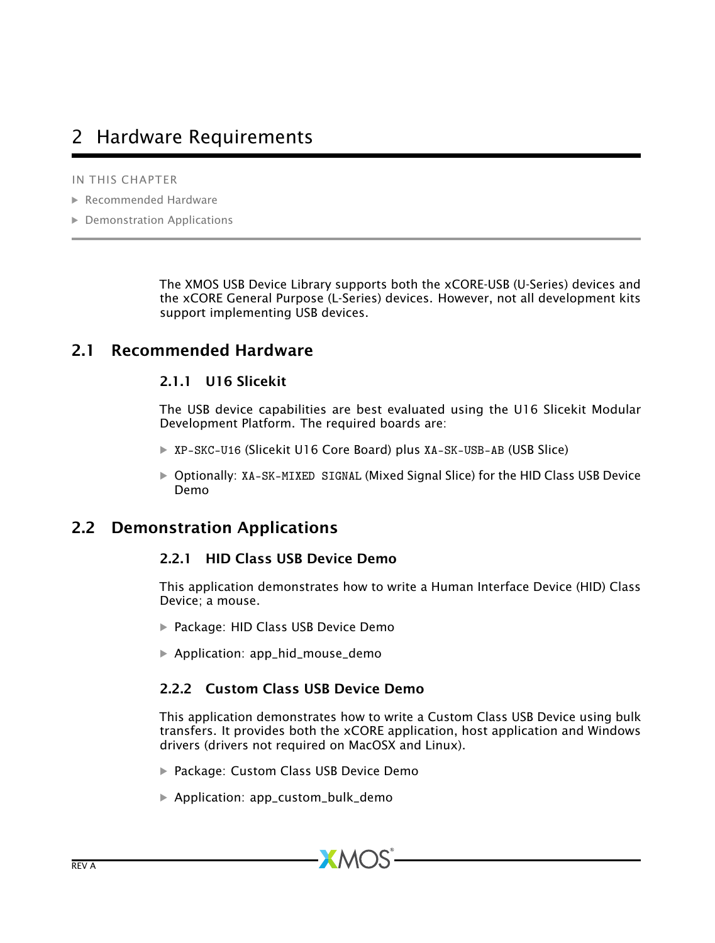# <span id="page-7-0"></span>2 Hardware Requirements

IN THIS CHAPTER

- · [Recommended Hardware](#page-7-1)
- · [Demonstration Applications](#page-7-3)

The XMOS USB Device Library supports both the xCORE-USB (U-Series) devices and the xCORE General Purpose (L-Series) devices. However, not all development kits support implementing USB devices.

## 2.1 Recommended Hardware

#### <span id="page-7-2"></span><span id="page-7-1"></span>2.1.1 U16 Slicekit

The USB device capabilities are best evaluated using the U16 Slicekit Modular Development Platform. The required boards are:

- · XP-SKC-U16 (Slicekit U16 Core Board) plus XA-SK-USB-AB (USB Slice)
- <span id="page-7-3"></span>· Optionally: XA-SK-MIXED SIGNAL (Mixed Signal Slice) for the HID Class USB Device Demo

## 2.2 Demonstration Applications

#### <span id="page-7-4"></span>2.2.1 HID Class USB Device Demo

This application demonstrates how to write a Human Interface Device (HID) Class Device; a mouse.

- · Package: HID Class USB Device Demo
- · Application: app\_hid\_mouse\_demo

#### <span id="page-7-5"></span>2.2.2 Custom Class USB Device Demo

This application demonstrates how to write a Custom Class USB Device using bulk transfers. It provides both the xCORE application, host application and Windows drivers (drivers not required on MacOSX and Linux).

- · Package: Custom Class USB Device Demo
- · Application: app\_custom\_bulk\_demo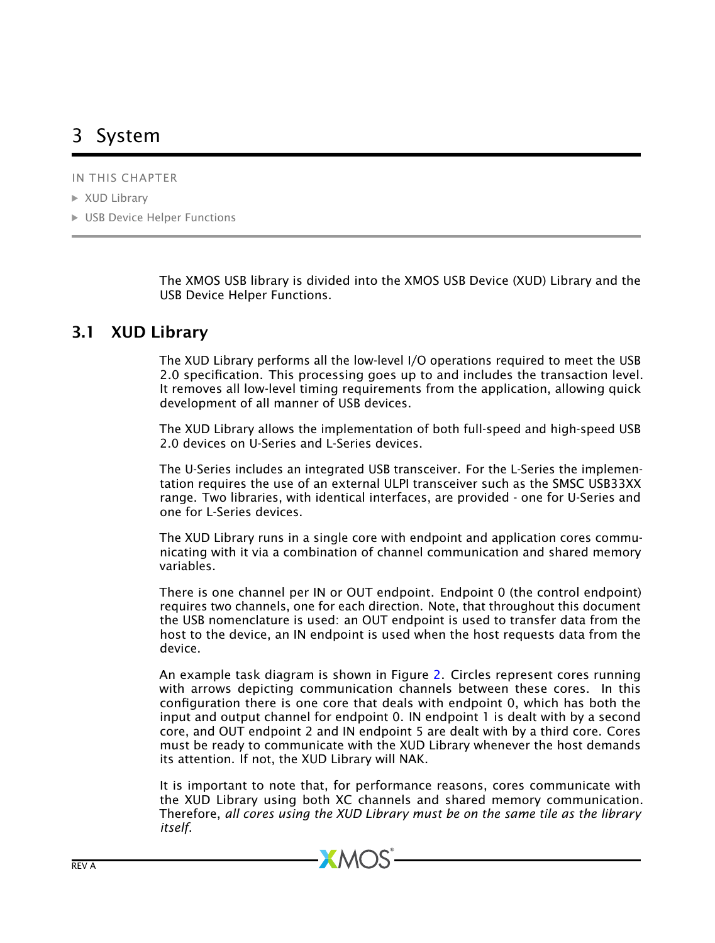# <span id="page-8-0"></span>3 System

IN THIS CHAPTER

· [XUD Library](#page-8-1)

▶ [USB Device Helper Functions](#page-11-0)

<span id="page-8-1"></span>The XMOS USB library is divided into the XMOS USB Device (XUD) Library and the USB Device Helper Functions.

# 3.1 XUD Library

The XUD Library performs all the low-level I/O operations required to meet the USB 2.0 specification. This processing goes up to and includes the transaction level. It removes all low-level timing requirements from the application, allowing quick development of all manner of USB devices.

The XUD Library allows the implementation of both full-speed and high-speed USB 2.0 devices on U-Series and L-Series devices.

The U-Series includes an integrated USB transceiver. For the L-Series the implementation requires the use of an external ULPI transceiver such as the SMSC USB33XX range. Two libraries, with identical interfaces, are provided - one for U-Series and one for L-Series devices.

The XUD Library runs in a single core with endpoint and application cores communicating with it via a combination of channel communication and shared memory variables.

There is one channel per IN or OUT endpoint. Endpoint 0 (the control endpoint) requires two channels, one for each direction. Note, that throughout this document the USB nomenclature is used: an OUT endpoint is used to transfer data from the host to the device, an IN endpoint is used when the host requests data from the device.

An example task diagram is shown in Figure [2.](#page-9-3) Circles represent cores running with arrows depicting communication channels between these cores. In this configuration there is one core that deals with endpoint 0, which has both the input and output channel for endpoint 0. IN endpoint 1 is dealt with by a second core, and OUT endpoint 2 and IN endpoint 5 are dealt with by a third core. Cores must be ready to communicate with the XUD Library whenever the host demands its attention. If not, the XUD Library will NAK.

It is important to note that, for performance reasons, cores communicate with the XUD Library using both XC channels and shared memory communication. Therefore, *all cores using the XUD Library must be on the same tile as the library itself*.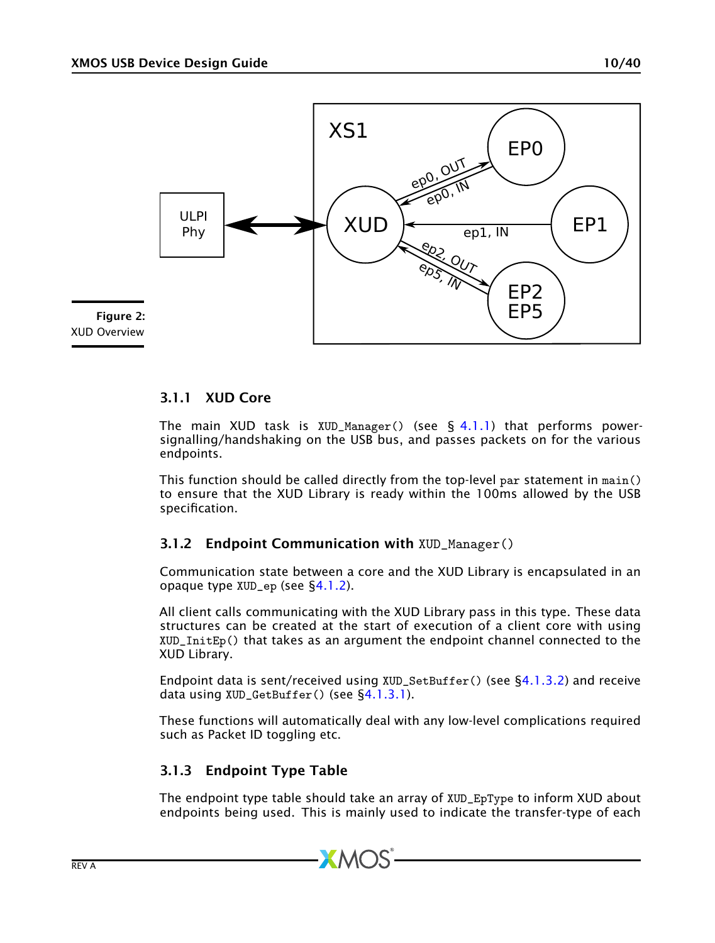

### <span id="page-9-3"></span><span id="page-9-0"></span>3.1.1 XUD Core

The main XUD task is  $XUD_M$ anager() (see § [4.1.1\)](#page-13-2) that performs powersignalling/handshaking on the USB bus, and passes packets on for the various endpoints.

This function should be called directly from the top-level par statement in main() to ensure that the XUD Library is ready within the 100ms allowed by the USB specification.

#### <span id="page-9-1"></span>3.1.2 Endpoint Communication with XUD\_Manager()

Communication state between a core and the XUD Library is encapsulated in an opaque type XUD\_ep (see [§4.1.2\)](#page-14-0).

All client calls communicating with the XUD Library pass in this type. These data structures can be created at the start of execution of a client core with using XUD\_InitEp() that takes as an argument the endpoint channel connected to the XUD Library.

Endpoint data is sent/received using  $XUD\_SetBuffer()$  (see  $\S4.1.3.2$ ) and receive data using XUD\_GetBuffer() (see [§4.1.3.1\)](#page-15-1).

These functions will automatically deal with any low-level complications required such as Packet ID toggling etc.

### <span id="page-9-2"></span>3.1.3 Endpoint Type Table

The endpoint type table should take an array of XUD\_EpType to inform XUD about endpoints being used. This is mainly used to indicate the transfer-type of each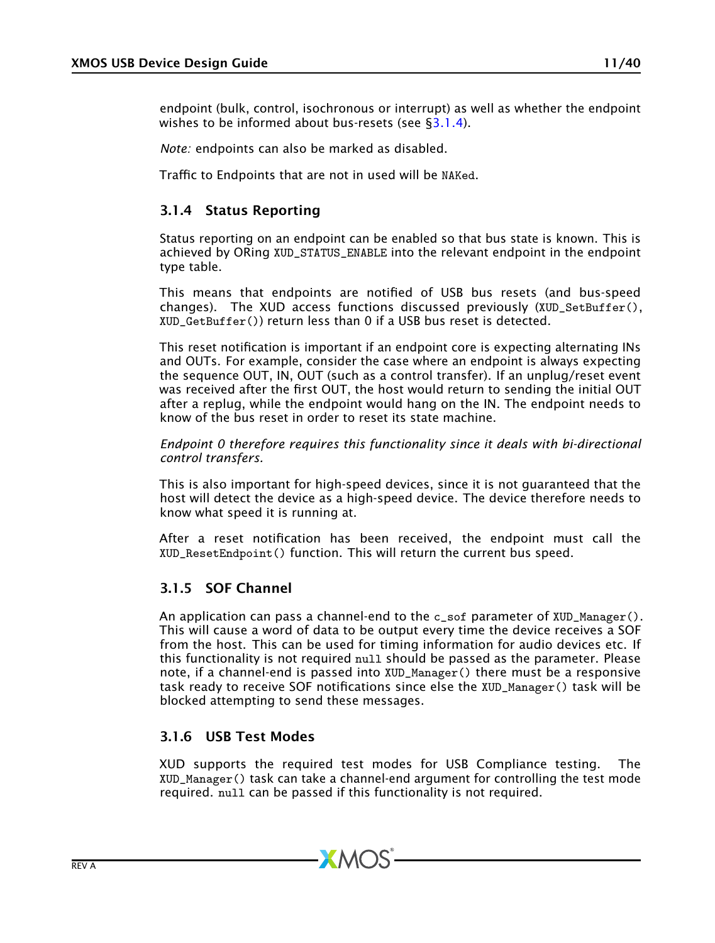*Note:* endpoints can also be marked as disabled.

Traffic to Endpoints that are not in used will be NAKed.

### <span id="page-10-0"></span>3.1.4 Status Reporting

Status reporting on an endpoint can be enabled so that bus state is known. This is achieved by ORing XUD\_STATUS\_ENABLE into the relevant endpoint in the endpoint type table.

This means that endpoints are notified of USB bus resets (and bus-speed changes). The XUD access functions discussed previously (XUD SetBuffer(). XUD\_GetBuffer()) return less than 0 if a USB bus reset is detected.

This reset notification is important if an endpoint core is expecting alternating INs and OUTs. For example, consider the case where an endpoint is always expecting the sequence OUT, IN, OUT (such as a control transfer). If an unplug/reset event was received after the first OUT, the host would return to sending the initial OUT after a replug, while the endpoint would hang on the IN. The endpoint needs to know of the bus reset in order to reset its state machine.

*Endpoint 0 therefore requires this functionality since it deals with bi-directional control transfers.*

This is also important for high-speed devices, since it is not guaranteed that the host will detect the device as a high-speed device. The device therefore needs to know what speed it is running at.

After a reset notification has been received, the endpoint must call the XUD\_ResetEndpoint() function. This will return the current bus speed.

### <span id="page-10-1"></span>3.1.5 SOF Channel

An application can pass a channel-end to the  $c$ -sof parameter of XUD\_Manager(). This will cause a word of data to be output every time the device receives a SOF from the host. This can be used for timing information for audio devices etc. If this functionality is not required null should be passed as the parameter. Please note, if a channel-end is passed into XUD\_Manager() there must be a responsive task ready to receive SOF notifications since else the XUD\_Manager() task will be blocked attempting to send these messages.

### <span id="page-10-2"></span>3.1.6 USB Test Modes

XUD supports the required test modes for USB Compliance testing. The XUD\_Manager() task can take a channel-end argument for controlling the test mode required. null can be passed if this functionality is not required.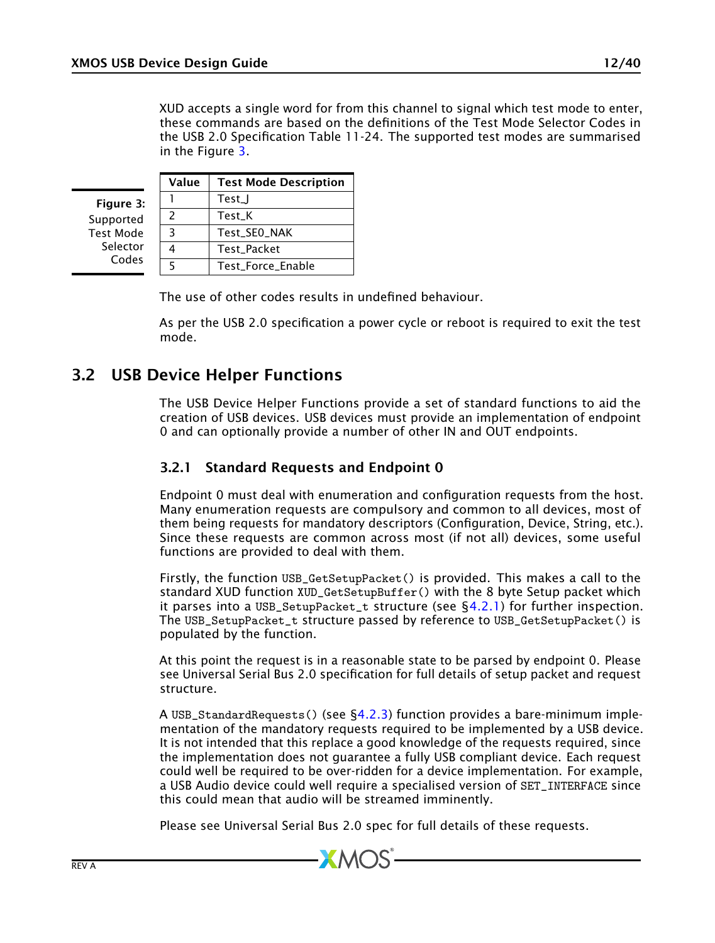XUD accepts a single word for from this channel to signal which test mode to enter, these commands are based on the definitions of the Test Mode Selector Codes in the USB 2.0 Specification Table 11-24. The supported test modes are summarised in the Figure [3.](#page-11-2)

<span id="page-11-2"></span>Value Test Mode Description  $1$  Test I 2 Test\_K 3 | Test\_SE0\_NAK 4 Test\_Packet 5 Test\_Force\_Enable Figure 3: Supported Test Mode Selector Codes

The use of other codes results in undefined behaviour.

<span id="page-11-0"></span>As per the USB 2.0 specification a power cycle or reboot is required to exit the test mode.

## 3.2 USB Device Helper Functions

The USB Device Helper Functions provide a set of standard functions to aid the creation of USB devices. USB devices must provide an implementation of endpoint 0 and can optionally provide a number of other IN and OUT endpoints.

#### <span id="page-11-1"></span>3.2.1 Standard Requests and Endpoint 0

Endpoint 0 must deal with enumeration and configuration requests from the host. Many enumeration requests are compulsory and common to all devices, most of them being requests for mandatory descriptors (Configuration, Device, String, etc.). Since these requests are common across most (if not all) devices, some useful functions are provided to deal with them.

Firstly, the function USB\_GetSetupPacket() is provided. This makes a call to the standard XUD function XUD\_GetSetupBuffer() with the 8 byte Setup packet which it parses into a USB\_SetupPacket\_t structure (see  $\S 4.2.1$ ) for further inspection. The USB\_SetupPacket\_t structure passed by reference to USB\_GetSetupPacket() is populated by the function.

At this point the request is in a reasonable state to be parsed by endpoint 0. Please see Universal Serial Bus 2.0 specification for full details of setup packet and request structure.

A USB\_StandardRequests() (see [§4.2.3\)](#page-20-0) function provides a bare-minimum implementation of the mandatory requests required to be implemented by a USB device. It is not intended that this replace a good knowledge of the requests required, since the implementation does not guarantee a fully USB compliant device. Each request could well be required to be over-ridden for a device implementation. For example, a USB Audio device could well require a specialised version of SET\_INTERFACE since this could mean that audio will be streamed imminently.

Please see Universal Serial Bus 2.0 spec for full details of these requests.

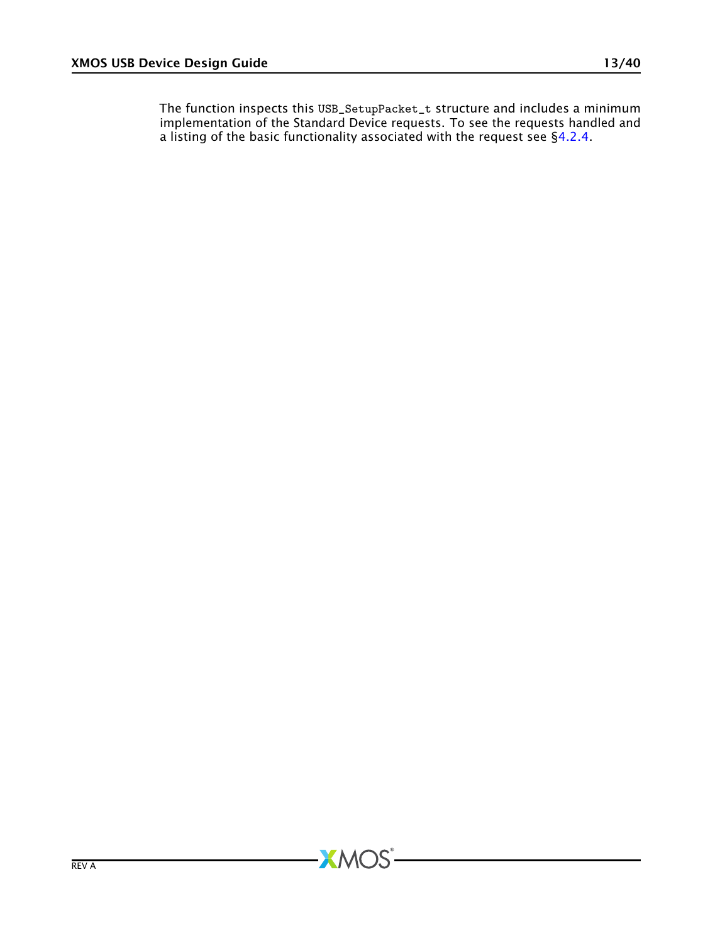The function inspects this USB\_SetupPacket\_t structure and includes a minimum implementation of the Standard Device requests. To see the requests handled and a listing of the basic functionality associated with the request see [§4.2.4.](#page-21-0)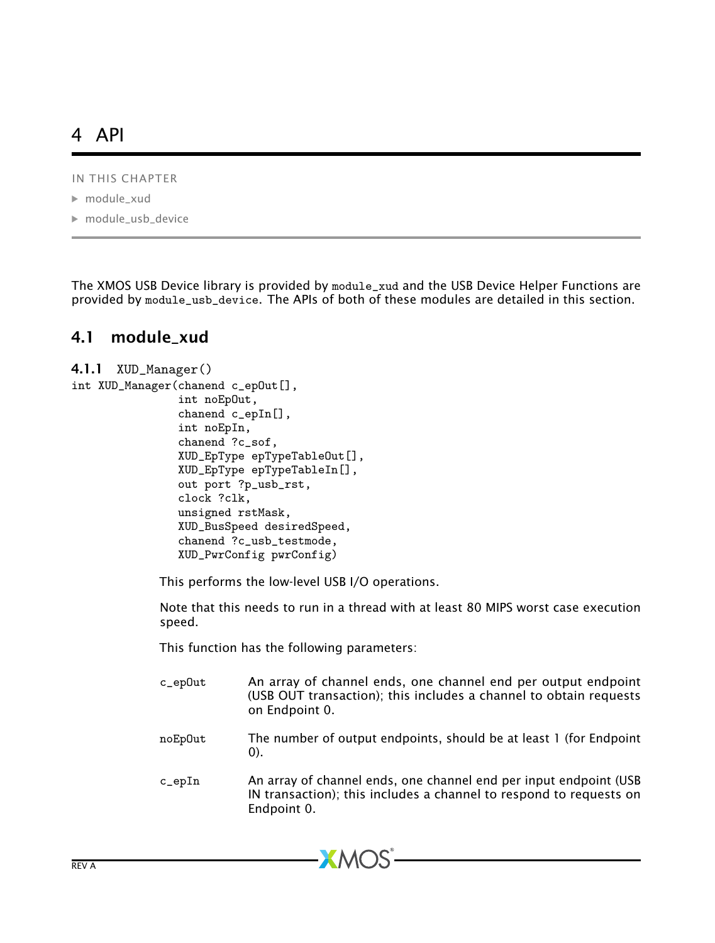# <span id="page-13-0"></span>4 API

IN THIS CHAPTER

- $\blacktriangleright$  module xud
- · [module\\_usb\\_device](#page-19-0)

The XMOS USB Device library is provided by module\_xud and the USB Device Helper Functions are provided by module\_usb\_device. The APIs of both of these modules are detailed in this section.

# <span id="page-13-1"></span>4.1 module\_xud

```
4.1.1 XUD_Manager()
```

```
int XUD_Manager(chanend c_epOut[],
                int noEpOut,
                chanend c_epIn[],
                int noEpIn,
                chanend ?c_sof,
                XUD_EpType epTypeTableOut[],
                XUD_EpType epTypeTableIn[],
                out port ?p_usb_rst,
                clock ?clk,
                unsigned rstMask,
                XUD_BusSpeed desiredSpeed,
                chanend ?c_usb_testmode,
                XUD_PwrConfig pwrConfig)
```
This performs the low-level USB I/O operations.

Note that this needs to run in a thread with at least 80 MIPS worst case execution speed.

This function has the following parameters:

c\_epOut An array of channel ends, one channel end per output endpoint (USB OUT transaction); this includes a channel to obtain requests on Endpoint 0. noEpOut The number of output endpoints, should be at least 1 (for Endpoint 0). c\_epIn An array of channel ends, one channel end per input endpoint (USB IN transaction); this includes a channel to respond to requests on Endpoint 0.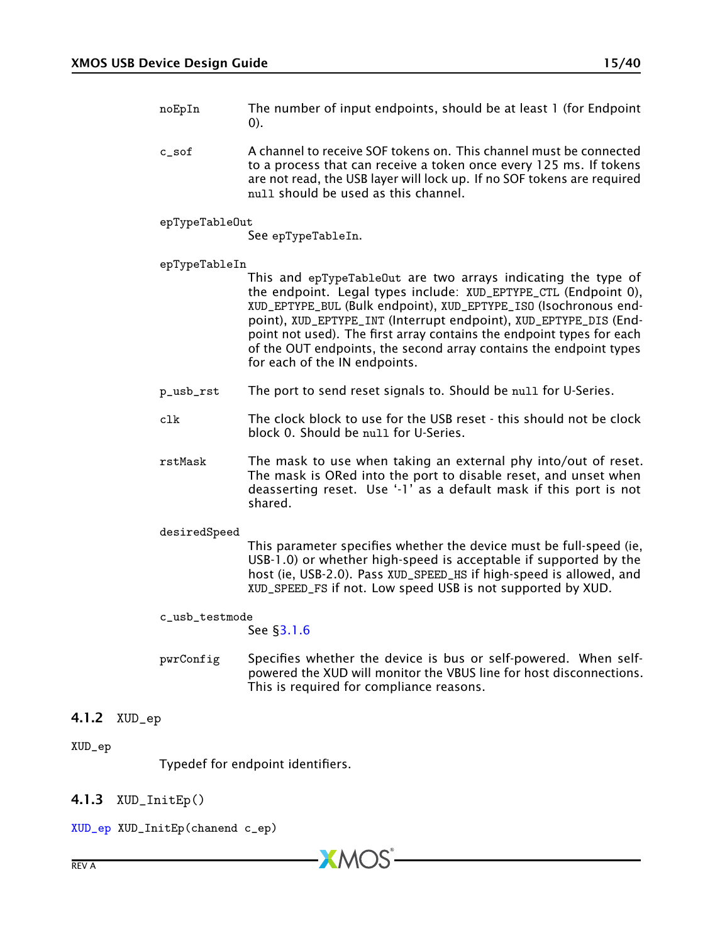- noEpIn The number of input endpoints, should be at least 1 (for Endpoint 0).
- c\_sof A channel to receive SOF tokens on. This channel must be connected to a process that can receive a token once every 125 ms. If tokens are not read, the USB layer will lock up. If no SOF tokens are required null should be used as this channel.
- epTypeTableOut

See epTypeTableIn.

epTypeTableIn

This and epTypeTableOut are two arrays indicating the type of the endpoint. Legal types include: XUD\_EPTYPE\_CTL (Endpoint 0), XUD\_EPTYPE\_BUL (Bulk endpoint), XUD\_EPTYPE\_ISO (Isochronous endpoint), XUD\_EPTYPE\_INT (Interrupt endpoint), XUD\_EPTYPE\_DIS (Endpoint not used). The first array contains the endpoint types for each of the OUT endpoints, the second array contains the endpoint types for each of the IN endpoints.

- p\_usb\_rst The port to send reset signals to. Should be null for U-Series.
- clk The clock block to use for the USB reset this should not be clock block 0. Should be null for U-Series.
- rstMask The mask to use when taking an external phy into/out of reset. The mask is ORed into the port to disable reset, and unset when deasserting reset. Use '-1' as a default mask if this port is not shared.

#### desiredSpeed

This parameter specifies whether the device must be full-speed (ie, USB-1.0) or whether high-speed is acceptable if supported by the host (ie, USB-2.0). Pass XUD\_SPEED\_HS if high-speed is allowed, and XUD\_SPEED\_FS if not. Low speed USB is not supported by XUD.

#### c\_usb\_testmode

See [§3.1.6](#page-10-2)

<span id="page-14-0"></span>pwrConfig Specifies whether the device is bus or self-powered. When selfpowered the XUD will monitor the VBUS line for host disconnections. This is required for compliance reasons.

#### 4.1.2 XUD\_ep

#### <span id="page-14-2"></span>XUD\_ep

<span id="page-14-1"></span>Typedef for endpoint identifiers.

#### 4.1.3 XUD\_InitEp()

[XUD\\_ep](#page-14-2) XUD\_InitEp(chanend c\_ep)

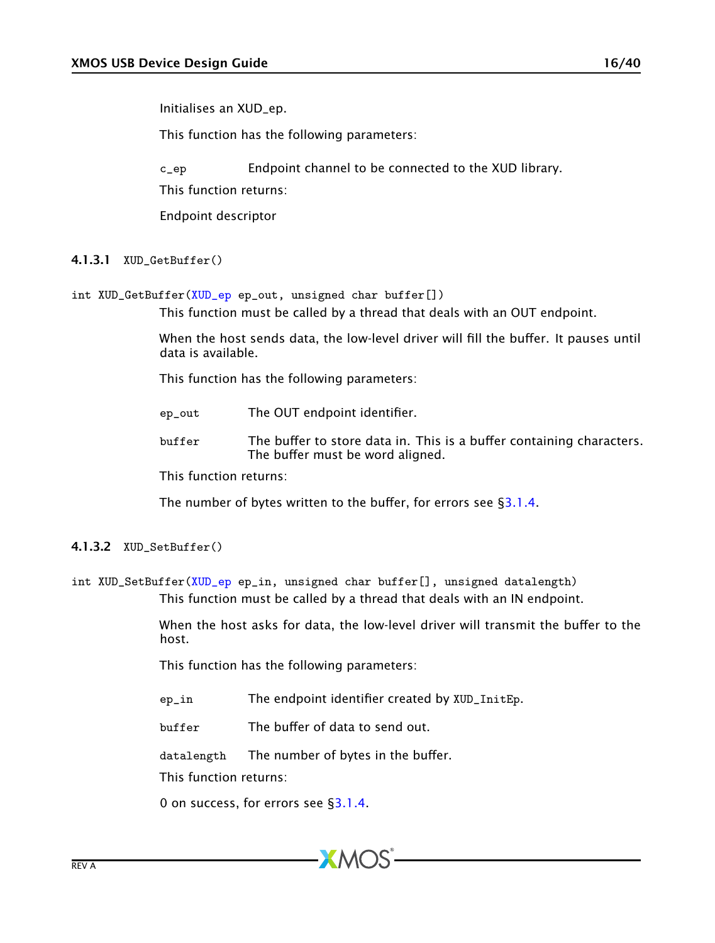This function has the following parameters:

c\_ep Endpoint channel to be connected to the XUD library. This function returns:

<span id="page-15-1"></span>Endpoint descriptor

#### 4.1.3.1 XUD\_GetBuffer()

int XUD\_GetBuffer[\(XUD\\_ep](#page-14-2) ep\_out, unsigned char buffer[])

This function must be called by a thread that deals with an OUT endpoint.

When the host sends data, the low-level driver will fill the buffer. It pauses until data is available.

This function has the following parameters:

- ep\_out The OUT endpoint identifier.
- buffer The buffer to store data in. This is a buffer containing characters. The buffer must be word aligned.

This function returns:

<span id="page-15-0"></span>The number of bytes written to the buffer, for errors see [§3.1.4.](#page-10-0)

#### 4.1.3.2 XUD\_SetBuffer()

int XUD\_SetBuffer[\(XUD\\_ep](#page-14-2) ep\_in, unsigned char buffer[], unsigned datalength) This function must be called by a thread that deals with an IN endpoint.

> When the host asks for data, the low-level driver will transmit the buffer to the host.

This function has the following parameters:

ep\_in The endpoint identifier created by XUD\_InitEp.

buffer The buffer of data to send out.

datalength The number of bytes in the buffer.

This function returns:

0 on success, for errors see [§3.1.4.](#page-10-0)

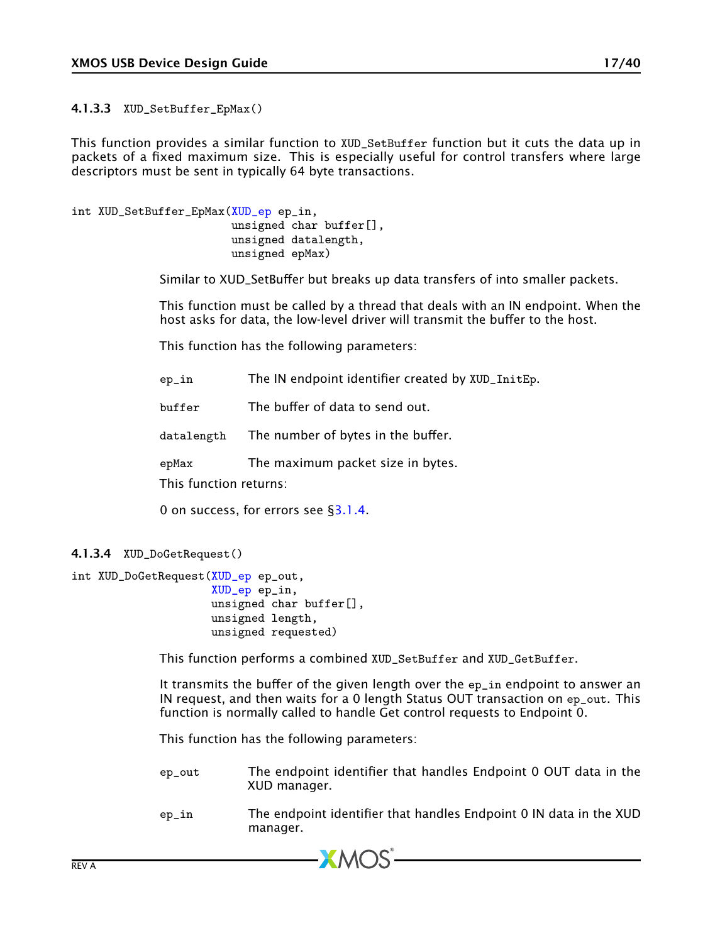4.1.3.3 XUD\_SetBuffer\_EpMax()

This function provides a similar function to XUD\_SetBuffer function but it cuts the data up in packets of a fixed maximum size. This is especially useful for control transfers where large descriptors must be sent in typically 64 byte transactions.

```
int XUD_SetBuffer_EpMax(XUD_ep ep_in,
                        unsigned char buffer[],
                        unsigned datalength,
                        unsigned epMax)
```
Similar to XUD\_SetBuffer but breaks up data transfers of into smaller packets.

This function must be called by a thread that deals with an IN endpoint. When the host asks for data, the low-level driver will transmit the buffer to the host.

This function has the following parameters:

```
ep_in The IN endpoint identifier created by XUD_InitEp.
buffer The buffer of data to send out.
datalength The number of bytes in the buffer.
epMax The maximum packet size in bytes.
This function returns:
0 on success, for errors see §3.1.4.
```

```
4.1.3.4 XUD_DoGetRequest()
```

```
int XUD_DoGetRequest(XUD_ep ep_out,
                     XUD_ep ep_in,
                     unsigned char buffer[],
                     unsigned length,
                     unsigned requested)
```
This function performs a combined XUD\_SetBuffer and XUD\_GetBuffer.

It transmits the buffer of the given length over the ep\_in endpoint to answer an IN request, and then waits for a 0 length Status OUT transaction on ep\_out. This function is normally called to handle Get control requests to Endpoint 0.

This function has the following parameters:

- ep\_out The endpoint identifier that handles Endpoint 0 OUT data in the XUD manager.
- ep\_in The endpoint identifier that handles Endpoint 0 IN data in the XUD manager.

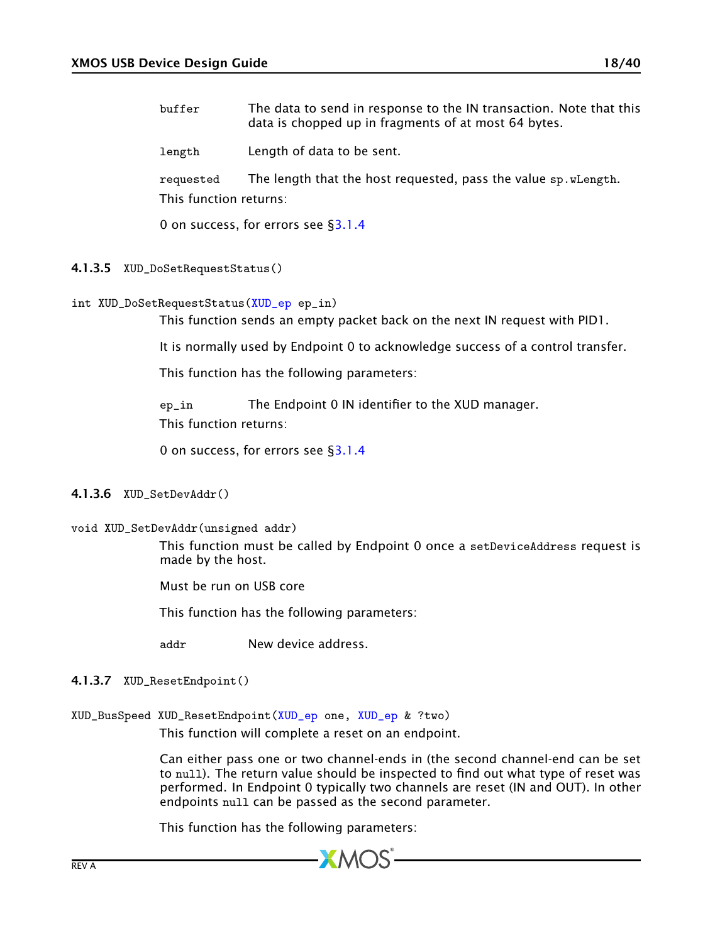buffer The data to send in response to the IN transaction. Note that this data is chopped up in fragments of at most 64 bytes.

length Length of data to be sent.

requested The length that the host requested, pass the value sp.wLength. This function returns:

0 on success, for errors see [§3.1.4](#page-10-0)

- 4.1.3.5 XUD\_DoSetRequestStatus()
- int XUD\_DoSetRequestStatus[\(XUD\\_ep](#page-14-2) ep\_in)

This function sends an empty packet back on the next IN request with PID1.

It is normally used by Endpoint 0 to acknowledge success of a control transfer.

This function has the following parameters:

ep\_in The Endpoint 0 IN identifier to the XUD manager. This function returns:

0 on success, for errors see [§3.1.4](#page-10-0)

#### 4.1.3.6 XUD\_SetDevAddr()

void XUD\_SetDevAddr(unsigned addr)

This function must be called by Endpoint 0 once a setDeviceAddress request is made by the host.

Must be run on USB core

This function has the following parameters:

addr New device address.

#### 4.1.3.7 XUD\_ResetEndpoint()

XUD\_BusSpeed XUD\_ResetEndpoint[\(XUD\\_ep](#page-14-2) one, [XUD\\_ep](#page-14-2) & ?two)

This function will complete a reset on an endpoint.

Can either pass one or two channel-ends in (the second channel-end can be set to null). The return value should be inspected to find out what type of reset was performed. In Endpoint 0 typically two channels are reset (IN and OUT). In other endpoints null can be passed as the second parameter.

This function has the following parameters:

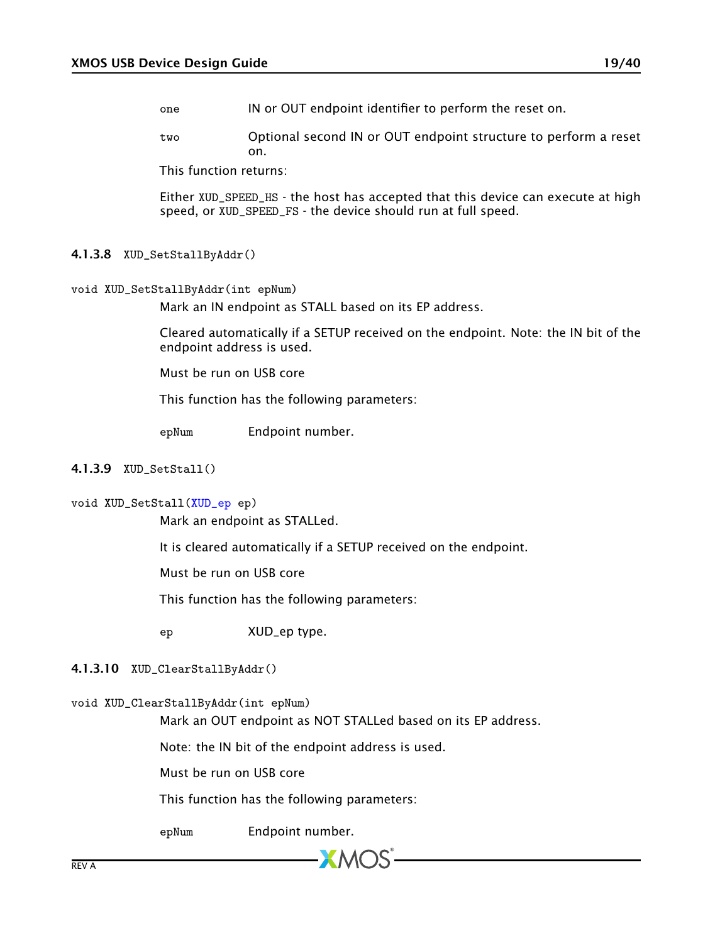- one IN or OUT endpoint identifier to perform the reset on.
- two Optional second IN or OUT endpoint structure to perform a reset on.

This function returns:

Either XUD\_SPEED\_HS - the host has accepted that this device can execute at high speed, or XUD\_SPEED\_FS - the device should run at full speed.

#### 4.1.3.8 XUD\_SetStallByAddr()

```
void XUD_SetStallByAddr(int epNum)
```
Mark an IN endpoint as STALL based on its EP address.

Cleared automatically if a SETUP received on the endpoint. Note: the IN bit of the endpoint address is used.

Must be run on USB core

This function has the following parameters:

epNum Endpoint number.

#### 4.1.3.9 XUD\_SetStall()

#### void XUD\_SetStall[\(XUD\\_ep](#page-14-2) ep)

Mark an endpoint as STALLed.

It is cleared automatically if a SETUP received on the endpoint.

Must be run on USB core

This function has the following parameters:

ep XUD\_ep type.

#### 4.1.3.10 XUD\_ClearStallByAddr()

### void XUD\_ClearStallByAddr(int epNum)

Mark an OUT endpoint as NOT STALLed based on its EP address.

**XMOS** 

Note: the IN bit of the endpoint address is used.

Must be run on USB core

This function has the following parameters:

epNum Endpoint number.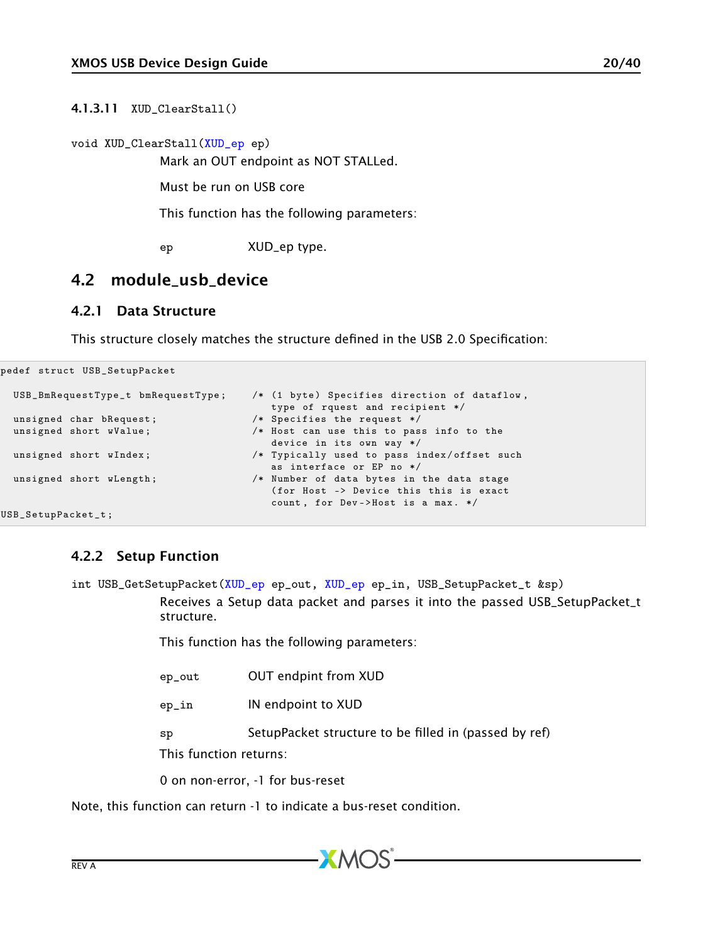4.1.3.11 XUD\_ClearStall()

void XUD\_ClearStall[\(XUD\\_ep](#page-14-2) ep)

Mark an OUT endpoint as NOT STALLed.

Must be run on USB core

This function has the following parameters:

<span id="page-19-1"></span><span id="page-19-0"></span>ep XUD\_ep type.

### 4.2 module usb device

#### 4.2.1 Data Structure

pedef struct USB\_SetupPacket

This structure closely matches the structure defined in the USB 2.0 Specification:

```
USB_BmRequestType_t bmRequestType; /* (1 byte) Specifies direction of dataflow,
                                                 type of rquest and recipient */
 unsigned char bRequest; \overline{\hspace{1cm}} /* Specifies the request */<br>unsigned short wValue; \overline{\hspace{1cm}} /* Host can use this to pass
                                             /* Host can use this to pass info to the
                                                 device in its own way */
 unsigned short wIndex; \overline{\hspace{1cm}} /* Typically used to pass index/offset such
                                                 as interface or EP no */
 unsigned short wLength; /* Number of data bytes in the data stage
                                                 ( for Host -> Device this this is exact
                                                 count, for Dev->Host is a max. */
} USB_SetupPacket_t ;
```
#### 4.2.2 Setup Function

<span id="page-19-2"></span>int USB\_GetSetupPacket[\(XUD\\_ep](#page-14-2) ep\_out, [XUD\\_ep](#page-14-2) ep\_in, USB\_SetupPacket\_t &sp) Receives a Setup data packet and parses it into the passed USB\_SetupPacket\_t structure.

This function has the following parameters:

| ep_out                 | <b>OUT endpint from XUD</b>                           |
|------------------------|-------------------------------------------------------|
| ep_in                  | IN endpoint to XUD                                    |
| sp                     | SetupPacket structure to be filled in (passed by ref) |
| This function returns: |                                                       |

0 on non-error, -1 for bus-reset

Note, this function can return -1 to indicate a bus-reset condition.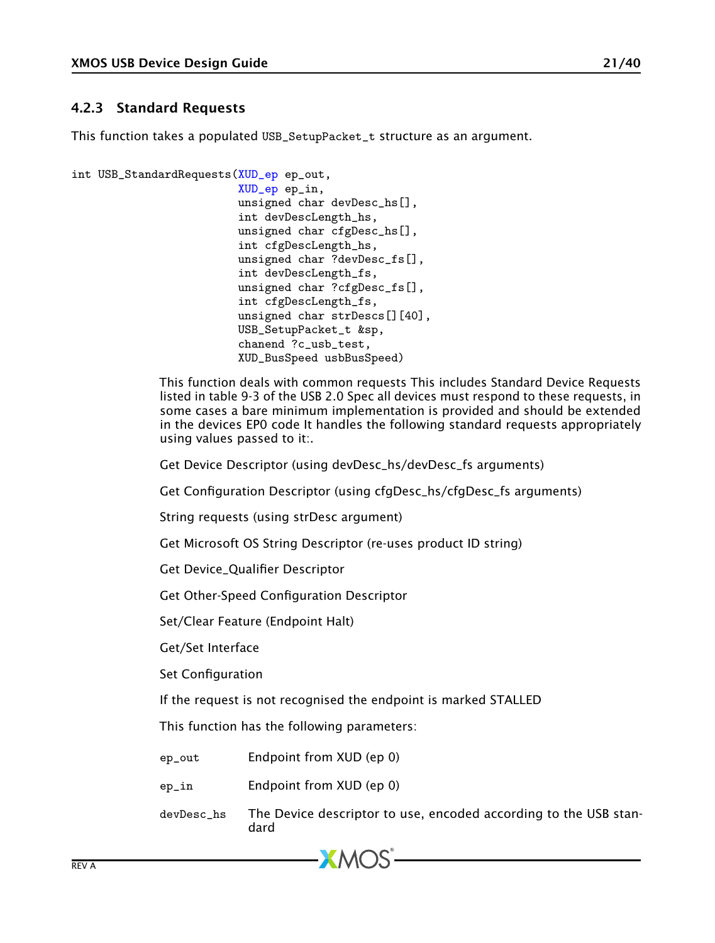### <span id="page-20-0"></span>4.2.3 Standard Requests

This function takes a populated USB\_SetupPacket\_t structure as an argument.

```
int USB_StandardRequests(XUD_ep ep_out,
                          XUD_ep ep_in,
                          unsigned char devDesc_hs[],
                          int devDescLength_hs,
                          unsigned char cfgDesc hs<sup>[]</sup>.
                          int cfgDescLength_hs,
                          unsigned char ?devDesc_fs[],
                          int devDescLength_fs,
                          unsigned char ?cfgDesc_fs[],
                          int cfgDescLength_fs,
                          unsigned char strDescs[][40],
                          USB_SetupPacket_t &sp,
                          chanend ?c_usb_test,
```
This function deals with common requests This includes Standard Device Requests listed in table 9-3 of the USB 2.0 Spec all devices must respond to these requests, in some cases a bare minimum implementation is provided and should be extended in the devices EP0 code It handles the following standard requests appropriately using values passed to it:.

Get Device Descriptor (using devDesc\_hs/devDesc\_fs arguments)

XUD\_BusSpeed usbBusSpeed)

Get Configuration Descriptor (using cfgDesc\_hs/cfgDesc\_fs arguments)

String requests (using strDesc argument)

Get Microsoft OS String Descriptor (re-uses product ID string)

Get Device\_Qualifier Descriptor

Get Other-Speed Configuration Descriptor

Set/Clear Feature (Endpoint Halt)

Get/Set Interface

Set Configuration

If the request is not recognised the endpoint is marked STALLED

This function has the following parameters:

ep\_out Endpoint from XUD (ep 0)

- ep\_in Endpoint from XUD (ep 0)
- devDesc\_hs The Device descriptor to use, encoded according to the USB standard



 $XMOS$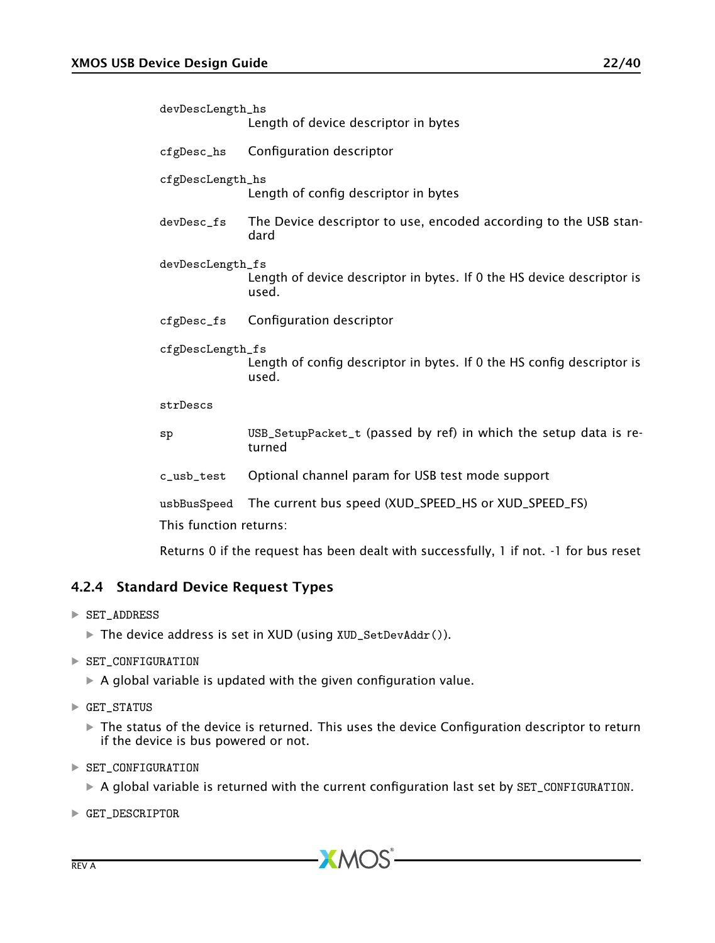| devDescLength_hs | Length of device descriptor in bytes                                            |  |  |  |
|------------------|---------------------------------------------------------------------------------|--|--|--|
| $cfgDesc_hs$     | Configuration descriptor                                                        |  |  |  |
| cfgDescLength_hs | Length of config descriptor in bytes                                            |  |  |  |
| devDesc_fs       | The Device descriptor to use, encoded according to the USB stan-<br>dard        |  |  |  |
| devDescLength_fs | Length of device descriptor in bytes. If 0 the HS device descriptor is<br>used. |  |  |  |
|                  | cfgDesc_fs Configuration descriptor                                             |  |  |  |
| cfgDescLength_fs | Length of config descriptor in bytes. If 0 the HS config descriptor is<br>used. |  |  |  |
| strDescs         |                                                                                 |  |  |  |
| $_{\rm sp}$      | USB SetupPacket t (passed by ref) in which the setup data is re-                |  |  |  |

- sp USB\_SetupPacket\_t (passed by ref) in which the setup data is returned
- c\_usb\_test Optional channel param for USB test mode support

usbBusSpeed The current bus speed (XUD\_SPEED\_HS or XUD\_SPEED\_FS) This function returns:

<span id="page-21-0"></span>Returns 0 if the request has been dealt with successfully, 1 if not. -1 for bus reset

### 4.2.4 Standard Device Request Types

- · SET\_ADDRESS
	- · The device address is set in XUD (using XUD\_SetDevAddr()).
- · SET\_CONFIGURATION
	- $\blacktriangleright$  A global variable is updated with the given configuration value.
- $\blacktriangleright$  GET\_STATUS
	- $\blacktriangleright$  The status of the device is returned. This uses the device Configuration descriptor to return if the device is bus powered or not.
- · SET\_CONFIGURATION
	- · A global variable is returned with the current configuration last set by SET\_CONFIGURATION.

 $XMOS$ 

· GET\_DESCRIPTOR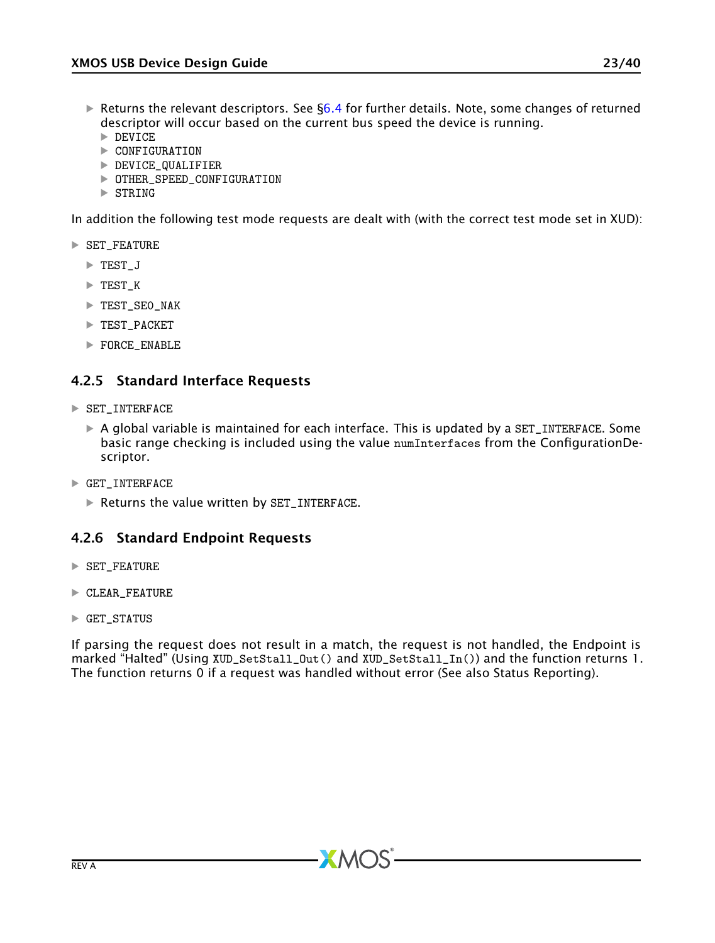- $\triangleright$  Returns the relevant descriptors. See [§6.4](#page-30-0) for further details. Note, some changes of returned descriptor will occur based on the current bus speed the device is running.
	- $\triangleright$  DEVICE
	- · CONFIGURATION
	- · DEVICE\_QUALIFIER
	- · OTHER\_SPEED\_CONFIGURATION
	- $\triangleright$  STRING

In addition the following test mode requests are dealt with (with the correct test mode set in XUD):

- · SET\_FEATURE
	- · TEST\_J
	- · TEST\_K
	- · TEST\_SE0\_NAK
	- · TEST\_PACKET
	- · FORCE\_ENABLE

### <span id="page-22-0"></span>4.2.5 Standard Interface Requests

- · SET\_INTERFACE
	- $\triangleright$  A global variable is maintained for each interface. This is updated by a SET\_INTERFACE. Some basic range checking is included using the value numInterfaces from the ConfigurationDescriptor.
- $\blacktriangleright$  GET\_INTERFACE
	- · Returns the value written by SET\_INTERFACE.

### <span id="page-22-1"></span>4.2.6 Standard Endpoint Requests

- · SET\_FEATURE
- · CLEAR\_FEATURE
- $\blacktriangleright$  GET\_STATUS

If parsing the request does not result in a match, the request is not handled, the Endpoint is marked "Halted" (Using XUD\_SetStall\_Out() and XUD\_SetStall\_In()) and the function returns 1. The function returns 0 if a request was handled without error (See also Status Reporting).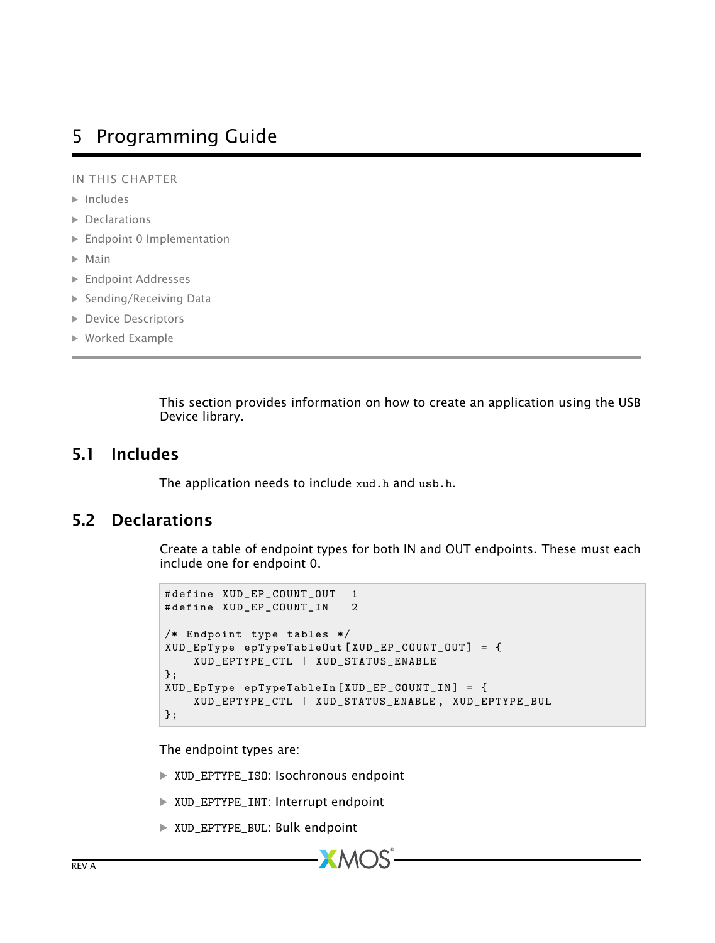# <span id="page-23-0"></span>5 Programming Guide

IN THIS CHAPTER

- $\blacktriangleright$  [Includes](#page-23-1)
- · [Declarations](#page-23-2)
- · [Endpoint 0 Implementation](#page-24-0)
- $\blacktriangleright$  [Main](#page-25-0)
- · [Endpoint Addresses](#page-26-0)
- ▶ [Sending/Receiving Data](#page-26-1)
- **[Device Descriptors](#page-26-2)**
- · [Worked Example](#page-26-3)

<span id="page-23-1"></span>This section provides information on how to create an application using the USB Device library.

## 5.1 Includes

<span id="page-23-2"></span>The application needs to include xud.h and usb.h.

## 5.2 Declarations

Create a table of endpoint types for both IN and OUT endpoints. These must each include one for endpoint 0.

```
# define XUD_EP_COUNT_OUT 1
# define XUD_EP_COUNT_IN 2
/* Endpoint type tables */
XUD_EpType epTypeTableOut [ XUD_EP_COUNT_OUT ] = {
    XUD_EPTYPE_CTL | XUD_STATUS_ENABLE
};
XUD_EpType epTypeTableIn [ XUD_EP_COUNT_IN ] = {
    XUD_EPTYPE_CTL | XUD_STATUS_ENABLE , XUD_EPTYPE_BUL
};
```
The endpoint types are:

- · XUD\_EPTYPE\_ISO: Isochronous endpoint
- · XUD\_EPTYPE\_INT: Interrupt endpoint
- · XUD\_EPTYPE\_BUL: Bulk endpoint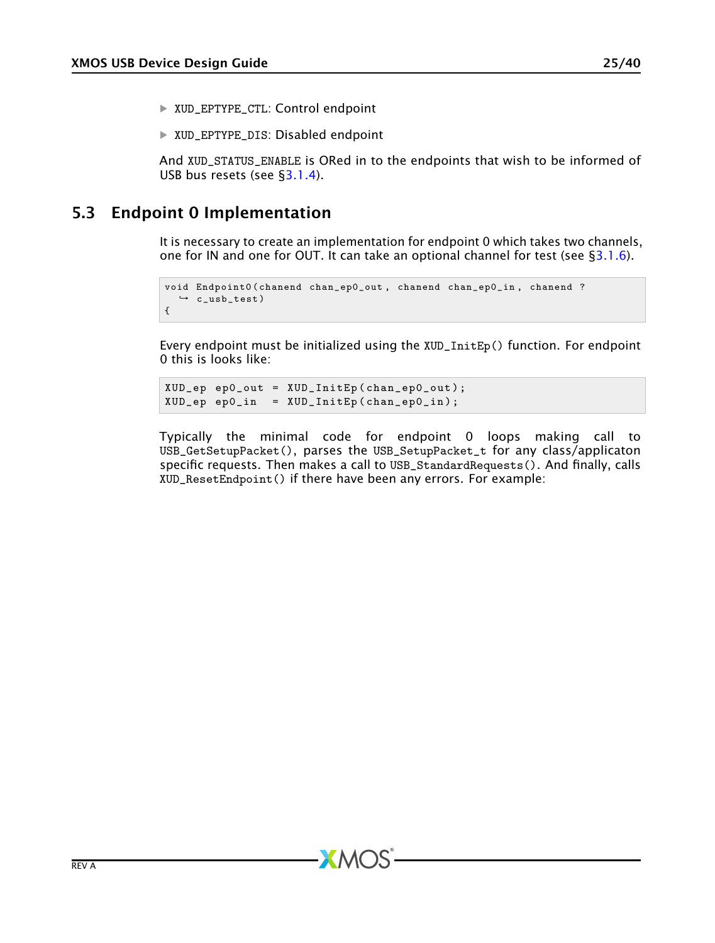- · XUD\_EPTYPE\_CTL: Control endpoint
- · XUD\_EPTYPE\_DIS: Disabled endpoint

<span id="page-24-0"></span>And XUD\_STATUS\_ENABLE is ORed in to the endpoints that wish to be informed of USB bus resets (see [§3.1.4\)](#page-10-0).

## 5.3 Endpoint 0 Implementation

It is necessary to create an implementation for endpoint 0 which takes two channels, one for IN and one for OUT. It can take an optional channel for test (see  $\S 3.1.6$ ).

```
void Endpoint0 (chanend chan_ep0_out, chanend chan_ep0_in, chanend ?
   \rightarrow c_usb_test)
{
```
Every endpoint must be initialized using the XUD\_InitEp() function. For endpoint 0 this is looks like:

```
XUD_ep ep0_out = XUD_InitEp ( chan_ep0_out ) ;
XUD_ep ep0_in = XUD_InitEp ( chan_ep0_in );
```
Typically the minimal code for endpoint 0 loops making call to USB\_GetSetupPacket(), parses the USB\_SetupPacket\_t for any class/applicaton specific requests. Then makes a call to USB\_StandardRequests(). And finally, calls XUD\_ResetEndpoint() if there have been any errors. For example: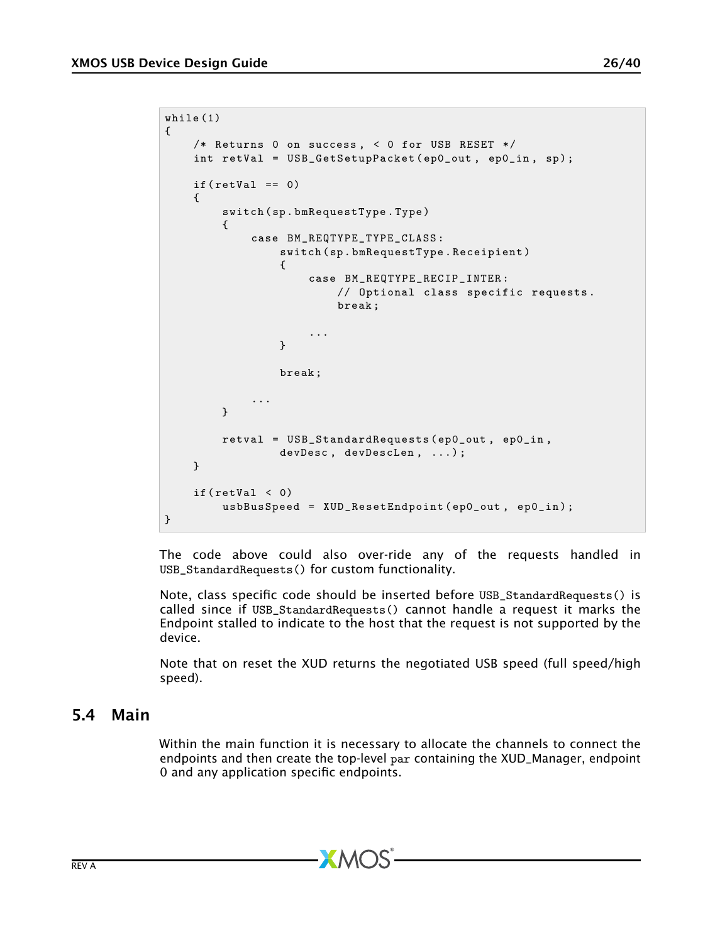```
while (1)
{
    /* Returns 0 on success , < 0 for USB RESET */
    int retVal = USB_GetSetupPacket ( ep0_out , ep0_in , sp );
    if (retVal == 0){
         switch ( sp . bmRequestType . Type )
         {
             case BM_REQTYPE_TYPE_CLASS :
                 switch ( sp . bmRequestType . Receipient )
                 {
                      case BM_REQTYPE_RECIP_INTER :
                          // Optional class specific requests .
                          break ;
                      ...
                 }
                 break ;
             ...
        }
         retval = USB_StandardRequests ( ep0_out , ep0_in ,
                 devDesc, devDescLen, ...);
    }
    if (retVal < 0)usbBusSpeed = XUD_ResetEndpoint ( ep0_out , ep0_in );
}
```
The code above could also over-ride any of the requests handled in USB\_StandardRequests() for custom functionality.

Note, class specific code should be inserted before USB\_StandardRequests() is called since if USB\_StandardRequests() cannot handle a request it marks the Endpoint stalled to indicate to the host that the request is not supported by the device.

<span id="page-25-0"></span>Note that on reset the XUD returns the negotiated USB speed (full speed/high speed).

## 5.4 Main

Within the main function it is necessary to allocate the channels to connect the endpoints and then create the top-level par containing the XUD\_Manager, endpoint 0 and any application specific endpoints.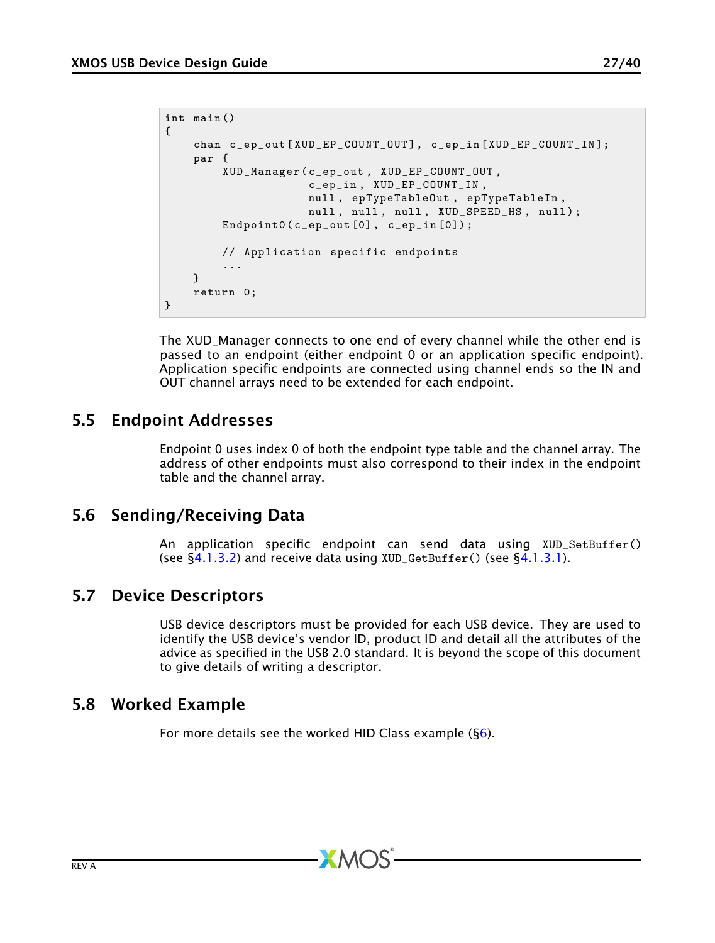```
int main ()
{
    chan c_ep_out [XUD_EP_COUNT_OUT], c_ep_in [XUD_EP_COUNT_IN];
    par {
        XUD_Manager ( c_ep_out , XUD_EP_COUNT_OUT ,
                     c_ep_in , XUD_EP_COUNT_IN ,
                     null , epTypeTableOut , epTypeTableIn ,
                     null, null, null, XUD_SPEED_HS, null);
        Endpoint0 (c_epp_out[0], c_epp_in[0]);// Application specific endpoints
         ...
    }
    return 0;
}
```
The XUD\_Manager connects to one end of every channel while the other end is passed to an endpoint (either endpoint 0 or an application specific endpoint). Application specific endpoints are connected using channel ends so the IN and OUT channel arrays need to be extended for each endpoint.

# 5.5 Endpoint Addresses

<span id="page-26-0"></span>Endpoint 0 uses index 0 of both the endpoint type table and the channel array. The address of other endpoints must also correspond to their index in the endpoint table and the channel array.

# 5.6 Sending/Receiving Data

<span id="page-26-2"></span><span id="page-26-1"></span>An application specific endpoint can send data using XUD\_SetBuffer() (see  $\S$ 4.1.3.2) and receive data using XUD\_GetBuffer() (see  $\S$ 4.1.3.1).

# 5.7 Device Descriptors

USB device descriptors must be provided for each USB device. They are used to identify the USB device's vendor ID, product ID and detail all the attributes of the advice as specified in the USB 2.0 standard. It is beyond the scope of this document to give details of writing a descriptor.

# 5.8 Worked Example

<span id="page-26-3"></span>For more details see the worked HID Class example  $(S6)$ .

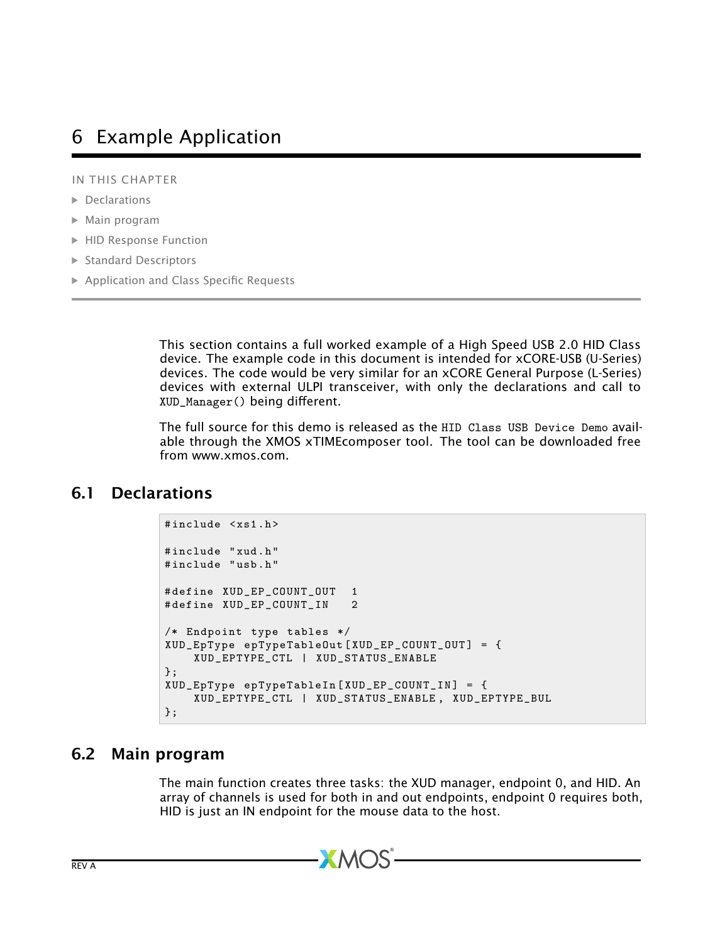# <span id="page-27-0"></span>6 Example Application

IN THIS CHAPTER

- · [Declarations](#page-27-1)
- · [Main program](#page-27-2)
- · [HID Response Function](#page-28-0)
- · [Standard Descriptors](#page-30-0)
- · [Application and Class Specific Requests](#page-32-1)

This section contains a full worked example of a High Speed USB 2.0 HID Class device. The example code in this document is intended for xCORE-USB (U-Series) devices. The code would be very similar for an xCORE General Purpose (L-Series) devices with external ULPI transceiver, with only the declarations and call to XUD\_Manager() being different.

<span id="page-27-1"></span>The full source for this demo is released as the HID Class USB Device Demo available through the XMOS xTIMEcomposer tool. The tool can be downloaded free from www.xmos.com.

# 6.1 Declarations

```
#include <xs1.h>
# include " xud . h"
# include " usb . h"
# define XUD_EP_COUNT_OUT 1<br># define XUD EP COUNT IN 2
# define XUD_EP_COUNT_IN 2
/* Endpoint type tables */
XUD_EpType epTypeTableOut [ XUD_EP_COUNT_OUT ] = {
    XUD_EPTYPE_CTL | XUD_STATUS_ENABLE
};
XUD EpType epTypeTableIn [XUD_EP_COUNT_IN] = {
    XUD_EPTYPE_CTL | XUD_STATUS_ENABLE , XUD_EPTYPE_BUL
};
```
## 6.2 Main program

<span id="page-27-2"></span>The main function creates three tasks: the XUD manager, endpoint 0, and HID. An array of channels is used for both in and out endpoints, endpoint 0 requires both, HID is just an IN endpoint for the mouse data to the host.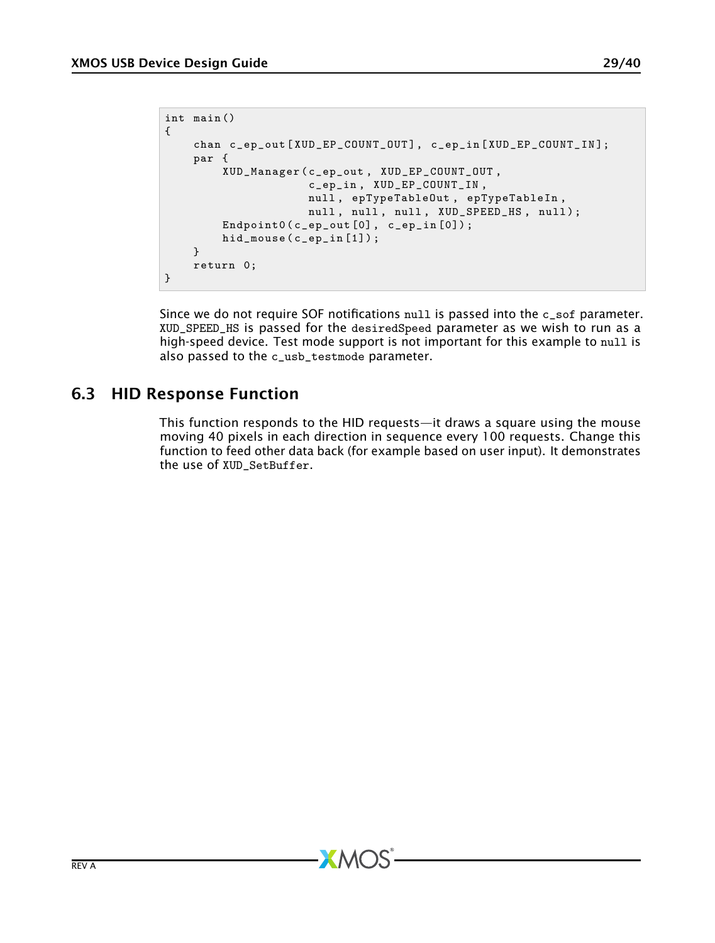```
int main ()
{
    chan c_ep_out [XUD_EP_COUNT_OUT], c_ep_in [XUD_EP_COUNT_IN];
    par {
        XUD_Manager ( c_ep_out , XUD_EP_COUNT_OUT ,
                     c_ep_in , XUD_EP_COUNT_IN ,
                     null , epTypeTableOut , epTypeTableIn ,
                     null, null, null, XUD_SPEED_HS, null);
        Endpoint0 (c_epp_out[0], c_epp_in[0]);hid_mouse (c_eep_in [1]) ;
    }
    return 0;
}
```
Since we do not require SOF notifications  $null$  is passed into the  $c$ <sub>-sof</sub> parameter. XUD\_SPEED\_HS is passed for the desiredSpeed parameter as we wish to run as a high-speed device. Test mode support is not important for this example to null is also passed to the c\_usb\_testmode parameter.

# 6.3 HID Response Function

<span id="page-28-0"></span>This function responds to the HID requests—it draws a square using the mouse moving 40 pixels in each direction in sequence every 100 requests. Change this function to feed other data back (for example based on user input). It demonstrates the use of XUD\_SetBuffer.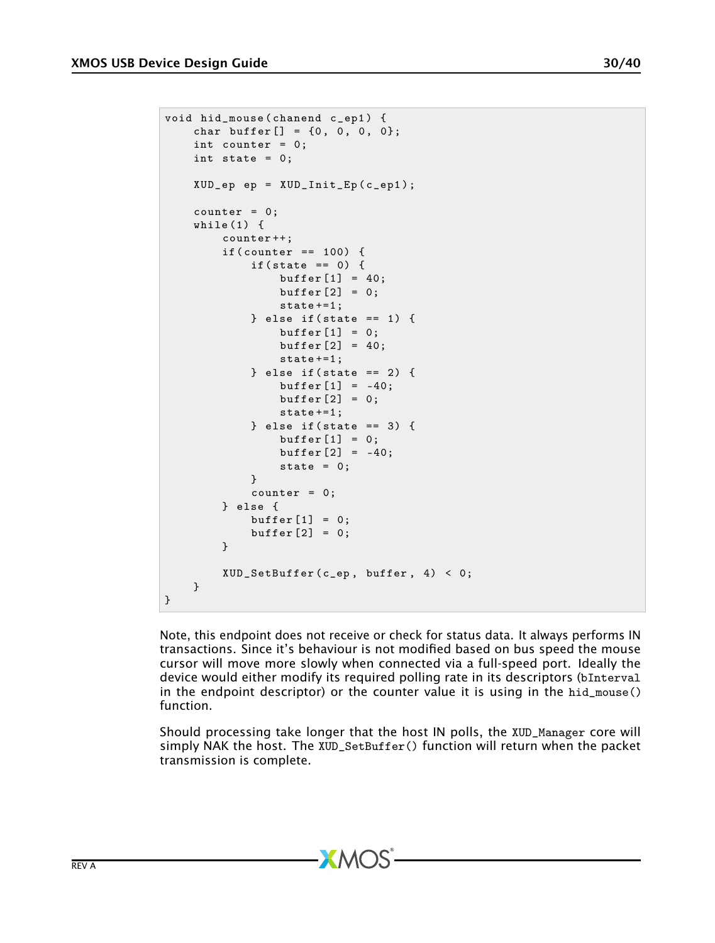```
void hid_mouse ( chanend c_ep1 ) {
    char buffer [] = {0, 0, 0, 0};
    int counter = 0;
    int state = 0:
    XUD_ep ep = XUD_Init_Ep ( c_ep1 );
    counter = 0;
    while (1) {
         counter ++;
         if (counter == 100) {
             if (state == 0) {
                  buffer [1] = 40;buffer[2] = 0;state +=1;
             } else if (\text{state} == 1) {
                  buffer [1] = 0;buffer[2] = 40;
                  state +=1;
             } else if (\text{state} == 2) {
                  buffer [1] = -40;buffer \lceil 2 \rceil = 0:
                  state +=1;
             } else if (state == 3) {
                  buffer[1] = 0;buffer [2] = -40;state = 0;
             }
             counter = 0;} else {
             buffer [1] = 0;buffer [2] = 0;}
         XUD SetBuffer (c<sub>ep</sub>, buffer, 4) < 0;
    }
}
```
Note, this endpoint does not receive or check for status data. It always performs IN transactions. Since it's behaviour is not modified based on bus speed the mouse cursor will move more slowly when connected via a full-speed port. Ideally the device would either modify its required polling rate in its descriptors (bInterval in the endpoint descriptor) or the counter value it is using in the hid\_mouse() function.

Should processing take longer that the host IN polls, the XUD\_Manager core will simply NAK the host. The XUD\_SetBuffer() function will return when the packet transmission is complete.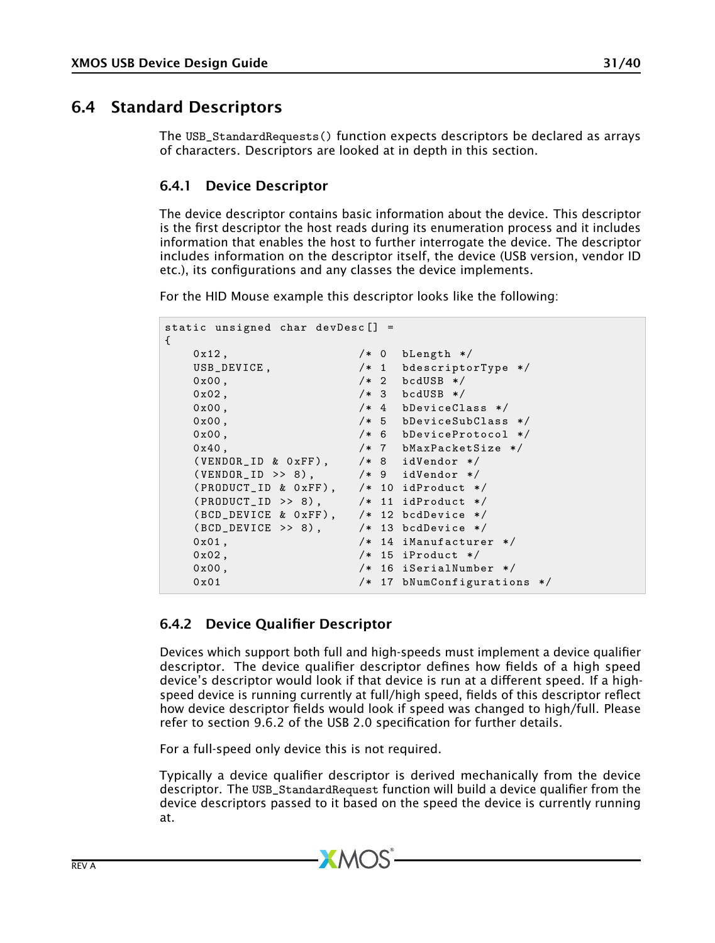# 6.4 Standard Descriptors

<span id="page-30-0"></span>The USB\_StandardRequests() function expects descriptors be declared as arrays of characters. Descriptors are looked at in depth in this section.

### <span id="page-30-1"></span>6.4.1 Device Descriptor

The device descriptor contains basic information about the device. This descriptor is the first descriptor the host reads during its enumeration process and it includes information that enables the host to further interrogate the device. The descriptor includes information on the descriptor itself, the device (USB version, vendor ID etc.), its configurations and any classes the device implements.

For the HID Mouse example this descriptor looks like the following:

```
static unsigned char devDesc [] =
{
   0 \times 12, /* 0 bLength */USB_DEVICE, \frac{1}{1} bdescriptorType */<br>0x00, \frac{1}{1} bdUSB */
                         /* 2 bcdUSB */0x02, /* 3 bcdUSB */0 x00 , /* 4 bDeviceClass */
    0 x00 , /* 5 bDeviceSubClass */
   0 \times 00, /* 6 \text{ b}DeviceProtocol */
    0 x40 , /* 7 bMaxPacketSize */
    (VENDOR\_ID & OxFF), /* 8 <i>i</i>dVendor */( VENDOR_ID >> 8) , /* 9 idVendor */
   (PRODUCT_ID & OxFF), /* 10 idProduct */<br>(PRODUCT_ID >> 8), /* 11 idProduct */
   (PRODUCT_ID \rightarrow 8),
   (BCD_DEVICE & 0xFF), /* 12 \text{ bcd}<br>
(BCD_DEVICE >> 8), /* 13 \text{ bcd}(BCD_DEVICE >> 8), 0x01,
                         /* 14 iManufacturer */0 \times 02, /* 15 iProduct */0 \times 00, /* 16 iSerialNumber */0x01 /* 17 bNumConfigurations */
```
### <span id="page-30-2"></span>6.4.2 Device Qualifier Descriptor

Devices which support both full and high-speeds must implement a device qualifier descriptor. The device qualifier descriptor defines how fields of a high speed device's descriptor would look if that device is run at a different speed. If a highspeed device is running currently at full/high speed, fields of this descriptor reflect how device descriptor fields would look if speed was changed to high/full. Please refer to section 9.6.2 of the USB 2.0 specification for further details.

For a full-speed only device this is not required.

Typically a device qualifier descriptor is derived mechanically from the device descriptor. The USB\_StandardRequest function will build a device qualifier from the device descriptors passed to it based on the speed the device is currently running at.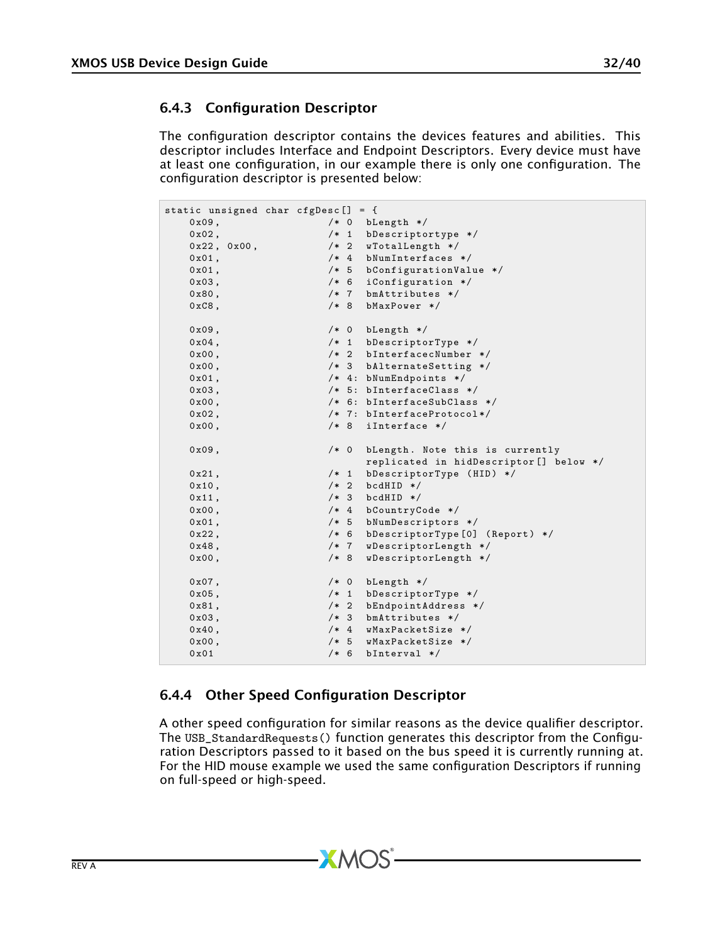## <span id="page-31-0"></span>6.4.3 Configuration Descriptor

The configuration descriptor contains the devices features and abilities. This descriptor includes Interface and Endpoint Descriptors. Every device must have at least one configuration, in our example there is only one configuration. The configuration descriptor is presented below:

```
static unsigned char cfgDesc [] = {<br>0x09 /* 0 bL
     0 x09, <br>0 x02, <br>
/* 0 bLength */
     0 x02, <br>0 x22, 0 x00, <br>\frac{1}{2} /* 2 wTotalLength */
      0 x22 , 0 x00 , /* 2 wTotalLength */
      0 \times 01, /* 4 bNumInterfaces */0 x01 , /* 5 bConfigurationValue */
      0 x03 , /* 6 iConfiguration */
     0 x80, \frac{1}{1} \frac{1}{1} \frac{1}{1} bmAttributes */
     0 \times C8, /* 8 bMaxPower */0 \times 09, 4 \times 0 blength * /<br>0 \times 04. 4 \times 1 blescripto
     0 \times 04, 4 \times 1 bDescriptorType */<br>0 \times 00. 4 \times 2 bInterfacecNumber
     0 \times 00, \frac{1}{10}, \frac{1}{10}, \frac{1}{10}, \frac{1}{10}, \frac{1}{10}, \frac{1}{10}, \frac{1}{10}, \frac{1}{10}, \frac{1}{10}, \frac{1}{10}, \frac{1}{10}, \frac{1}{10}, \frac{1}{10}, \frac{1}{10}, \frac{1}{10}, \frac{1}{10}, \frac{1}{10}, \frac{1}{10 \times 00, \frac{1}{10}, \frac{1}{10}, \frac{1}{10}, \frac{1}{10}, \frac{1}{10}, \frac{1}{10}, \frac{1}{10}, \frac{1}{10}, \frac{1}{10}, \frac{1}{10}, \frac{1}{10}, \frac{1}{10}, \frac{1}{10}, \frac{1}{10}, \frac{1}{10}, \frac{1}{10}, \frac{1}{10}, \frac{1}{10 \times 01, 4: bNumber \star 4: bNumber \star 7: bInternet</math>0 \times 03, \overline{\smash)}/* 5: bInterfaceClass \overline{*}/<br>0 \times 00, \overline{\smash)}/* 6: bInterfaceSubClass
     0 \times 00, \frac{1}{10} \times 6: bInterfaceSubClass */<br>0 \times 02. \frac{1}{10} \times 7: bInterfaceProtocol*/
                                        /* 7:  bInterfaceProtocol */0 \times 00, /* 8 iInterface */0x09, /* 0 bLength. Note this is currently
                                                 replicated in hidDescriptor [] below */
     0 x 21, \qquad \qquad /* 1 bDescriptorType (HID) */<br>0 x 10. \qquad \qquad /* 2 bcdHID */
     0 \times 10, 4 \times 2 bcdHID * /<br>0 \times 11 4 \times 3 bcdHID * /0 \times 11, 4 \times 3 bcdHID */<br>0 \times 00. 4 \times 4 bCountryC
      0 x00 , /* 4 bCountryCode */
      0 x01 , /* 5 bNumDescriptors */
      0 x22 , /* 6 bDescriptorType [0] ( Report ) */
     0x48, /* 7  WDescriptorLength * /0 x00, \overline{ } /* 8 wDescriptorLength */
     0x07, /* 0 bLength */0x05, /* 1 bDescriptorType */
     0 \times 81, \frac{1}{10}, \frac{1}{10} , \frac{1}{10} , \frac{1}{10} , \frac{1}{10} , \frac{1}{10} , \frac{1}{10} , \frac{1}{10} , \frac{1}{10} , \frac{1}{10} , \frac{1}{10} , \frac{1}{10} , \frac{1}{10} , \frac{1}{10} , \frac{1}{10} , \frac{1}{10} , \frac{0 \times 03, \frac{1}{10} \times 3 bmAttributes */<br>0 \times 40, \frac{1}{10} \times 4 wMaxPacketSize
     0 \times 40, 4 \times 4 wMaxPacketSize */<br>0 \times 00. 4 \times 5 wMaxPacketSize */
      0 x00 , /* 5 wMaxPacketSize */
      0x01 /* 6 bInterval */
```
## <span id="page-31-1"></span>6.4.4 Other Speed Configuration Descriptor

A other speed configuration for similar reasons as the device qualifier descriptor. The USB\_StandardRequests() function generates this descriptor from the Configuration Descriptors passed to it based on the bus speed it is currently running at. For the HID mouse example we used the same configuration Descriptors if running on full-speed or high-speed.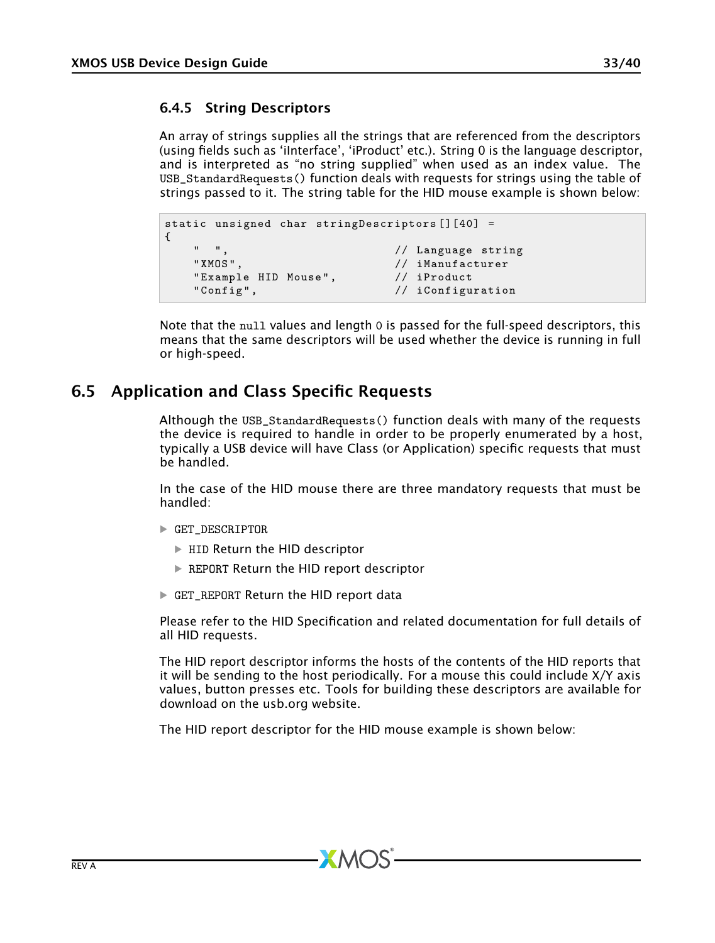### <span id="page-32-0"></span>6.4.5 String Descriptors

An array of strings supplies all the strings that are referenced from the descriptors (using fields such as 'iInterface', 'iProduct' etc.). String 0 is the language descriptor, and is interpreted as "no string supplied" when used as an index value. The USB\_StandardRequests() function deals with requests for strings using the table of strings passed to it. The string table for the HID mouse example is shown below:

```
static unsigned char stringDescriptors [][40] =
{
     " ",<br>"XMOS", " // Language string"<br>// iManufacturer
                                         // iManufacturer
     " Example HID Mouse", \frac{1}{2} iProduct<br>"Config", \frac{1}{2} iConfigu
                                         // iConfiguration
```
Note that the null values and length 0 is passed for the full-speed descriptors, this means that the same descriptors will be used whether the device is running in full or high-speed.

# 6.5 Application and Class Specific Requests

<span id="page-32-1"></span>Although the USB\_StandardRequests() function deals with many of the requests the device is required to handle in order to be properly enumerated by a host, typically a USB device will have Class (or Application) specific requests that must be handled.

In the case of the HID mouse there are three mandatory requests that must be handled:

- · GET\_DESCRIPTOR
	- · HID Return the HID descriptor
	- · REPORT Return the HID report descriptor
- · GET\_REPORT Return the HID report data

Please refer to the HID Specification and related documentation for full details of all HID requests.

The HID report descriptor informs the hosts of the contents of the HID reports that it will be sending to the host periodically. For a mouse this could include X/Y axis values, button presses etc. Tools for building these descriptors are available for download on the usb.org website.

The HID report descriptor for the HID mouse example is shown below: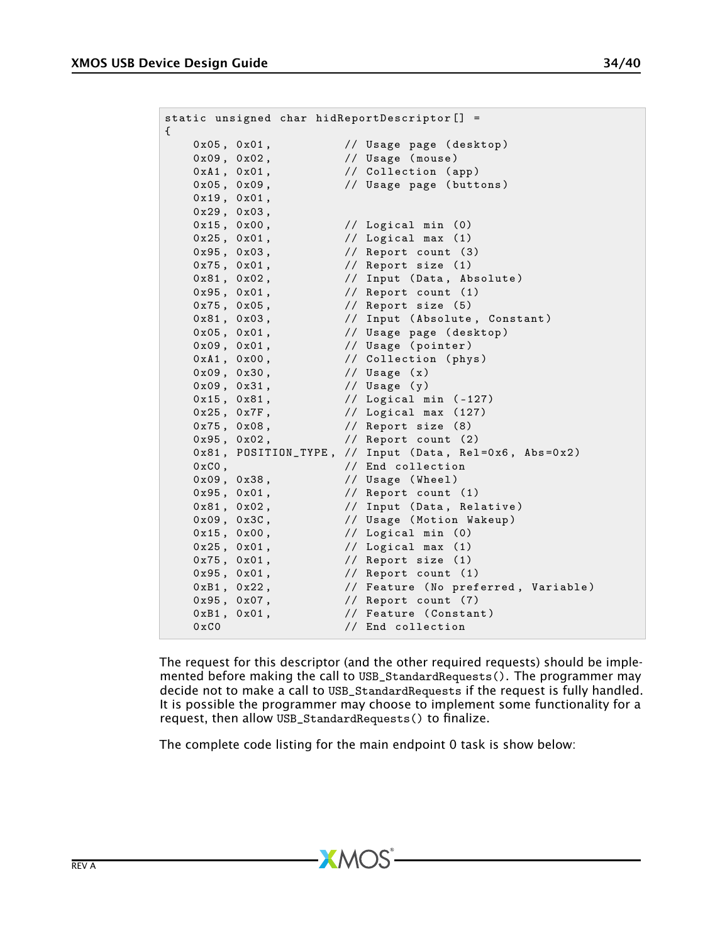| static unsigned char hidReportDescriptor[] =<br>€ |                                                        |
|---------------------------------------------------|--------------------------------------------------------|
| $0x05$ , $0x01$ ,                                 | // Usage page (desktop)                                |
| 0x09.0x02.                                        | // Usage (mouse)                                       |
| $0xA1$ , $0x01$ ,                                 | // Collection (app)                                    |
| $0x05$ , $0x09$ ,                                 | // Usage page (buttons)                                |
| 0x19, 0x01,                                       |                                                        |
| 0x29, 0x03,                                       |                                                        |
| $0x15$ , $0x00$ ,                                 | // Logical min (0)                                     |
| $0x25$ , $0x01$ ,                                 | $\frac{1}{2}$ // Logical max (1)                       |
| 0x95, 0x03,<br><b>Contract Contract</b>           | // Report count (3)                                    |
| 0x75, 0x01,                                       | // Report size (1)                                     |
| 0x81, 0x02,                                       | // Input (Data, Absolute)                              |
| 0x95, 0x01,                                       | $//$ Report count $(1)$                                |
| $0x75$ , $0x05$ ,                                 | // Report size (5)                                     |
| 0x81, 0x03,                                       | // Input (Absolute, Constant)                          |
| $0x05$ , $0x01$ ,                                 | // Usage page (desktop)                                |
| 0x09, 0x01,                                       | // Usage (pointer)                                     |
| 0xA1, 0x00,                                       | // Collection (phys)                                   |
| 0x09, 0x30,                                       | // Usage (x)                                           |
| $0x09$ , $0x31$ , $//$ Usage $(y)$                |                                                        |
|                                                   | $0x15$ , $0x81$ , $//$ Logical min $(-127)$            |
| $0x25$ , $0x7F$ ,                                 | $\frac{1}{2}$ // Logical max (127)                     |
| $0x75$ , $0x08$ ,                                 | // Report size (8)                                     |
| 0x95, 0x02,                                       | $//$ Report count $(2)$                                |
|                                                   | 0x81, POSITION_TYPE, // Input (Data, Rel=0x6, Abs=0x2) |
| $0xC0$ .                                          | // End collection                                      |
| 0x09, 0x38,                                       | // Usage (Wheel)                                       |
| 0x95, 0x01,                                       | // Report count (1)                                    |
| 0x81, 0x02,                                       | // Input (Data, Relative)                              |
| 0x09, 0x3C,                                       | // Usage (Motion Wakeup)                               |
| $0x15$ , $0x00$ ,                                 | $\frac{1}{2}$ // Logical min (0)                       |
| $0x25$ , $0x01$ ,                                 | $\frac{1}{2}$ Logical max (1)                          |
| $0x75$ , $0x01$ ,                                 | // Report size (1)                                     |
| 0x95, 0x01,                                       | // Report count (1)                                    |
| $0xB1$ , $0x22$ ,                                 | // Feature (No preferred, Variable)                    |
| 0x95, 0x07,                                       | // Report count (7)                                    |
| $0xB1$ , $0x01$ ,                                 | // Feature (Constant)                                  |
| $0 \times C0$                                     | // End collection                                      |

The request for this descriptor (and the other required requests) should be implemented before making the call to USB\_StandardRequests(). The programmer may decide not to make a call to USB\_StandardRequests if the request is fully handled. It is possible the programmer may choose to implement some functionality for a request, then allow USB\_StandardRequests() to finalize.

The complete code listing for the main endpoint 0 task is show below: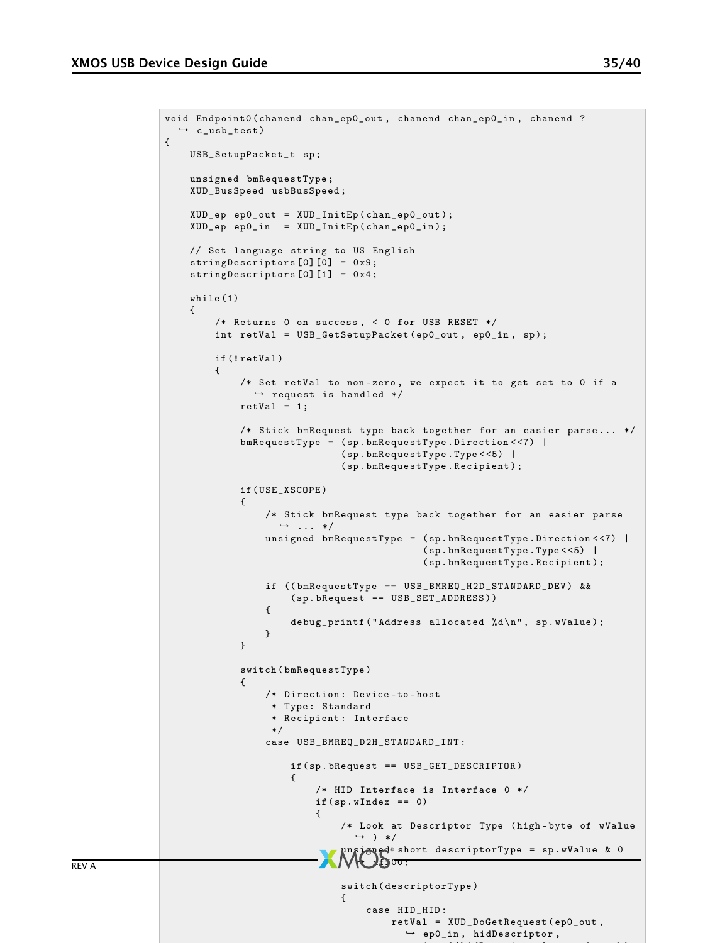{

{

```
void Endpoint0 ( chanend chan_ep0_out , chanend chan_ep0_in , chanend ?
   \hookrightarrow c_usb_test)
    USB_SetupPacket_t sp ;
    unsigned bmRequestType ;
    XUD_BusSpeed usbBusSpeed ;
    XUD_ep ep0_out = XUD_InitEp ( chan_ep0_out ) ;
    XUD_ep ep0_in = XUD_InitEp ( chan_ep0_in );
    // Set language string to US English
    stringDescriptors [0][0] = 0x9;
    stringDescriptors [0] [1] = 0x4;
    while (1)
          /* Returns 0 on success , < 0 for USB RESET */
         int retVal = USB_GetSetupPacket ( ep0_out , ep0_in , sp );
          if (! retVal )
          {
               /* Set retVal to non-zero, we expect it to get set to 0 if a
                 \hookrightarrow request is handled */
               retVal = 1;/* Stick bmRequest type back together for an easier parse ... */
               bmRequestType = ( sp . bmRequestType . Direction < <7) |
                                   ( sp . bmRequestType . Type < <5) |
                                   ( sp . bmRequestType . Recipient );
               if ( USE_XSCOPE )
               {
                    /* Stick bmRequest type back together for an easier parse
                       \leftrightarrow \ldots */
                    unsigned bm{e} \mathbf{F} and \mathbf{F} = (\text{sp.bm{e} \mathbf{F}) by \mathbf{F} and \mathbf{F} and \mathbf{F} are \mathbf{F} and \mathbf{F} are \mathbf{F} are \mathbf{F} and \mathbf{F} are \mathbf{F} are \mathbf{F} are \mathbf{F} are \mathbf{F} are ( sp . bmRequestType . Type < <5) |
                                                    ( sp . bmRequestType . Recipient );
                    if (( bmRequestType == USB_BMREQ_H2D_STANDARD_DEV ) &&
                         ( sp . bRequest == USB_SET_ADDRESS ))
                    {
                         debug_printf ("Address allocated %d\n", sp.wValue);
                    }
               }
               switch ( bmRequestType )
               {
                    /* Direction : Device -to - host
                     * Type : Standard
                     * Recipient : Interface
                     */
                    case USB_BMREQ_D2H_STANDARD_INT :
                         if ( sp . bRequest == USB_GET_DESCRIPTOR )
                         {
                              /* HID Interface is Interface 0 */
                              if ( sp. wIndex == 0){
                                    /* Look at Descriptor Type ( high - byte of wValue
                                      \leftrightarrow ) */
                                    unsigned short descriptorType = sp.wValue & 0<br>
\bigvee_{i=1}^{\infty}00;
                                    switch ( descriptorType )
                                   {
                                        case HID_HID :
                                             retVal = XUD_DoGetRequest ( ep0_out ,
                                                \leftrightarrow ep0_in, hidDescriptor,
```
size in the secretary of the special contract in the special contract of the special contract in the special contract of the special contract of the special contract of the special contract of the special contract of the s

REV A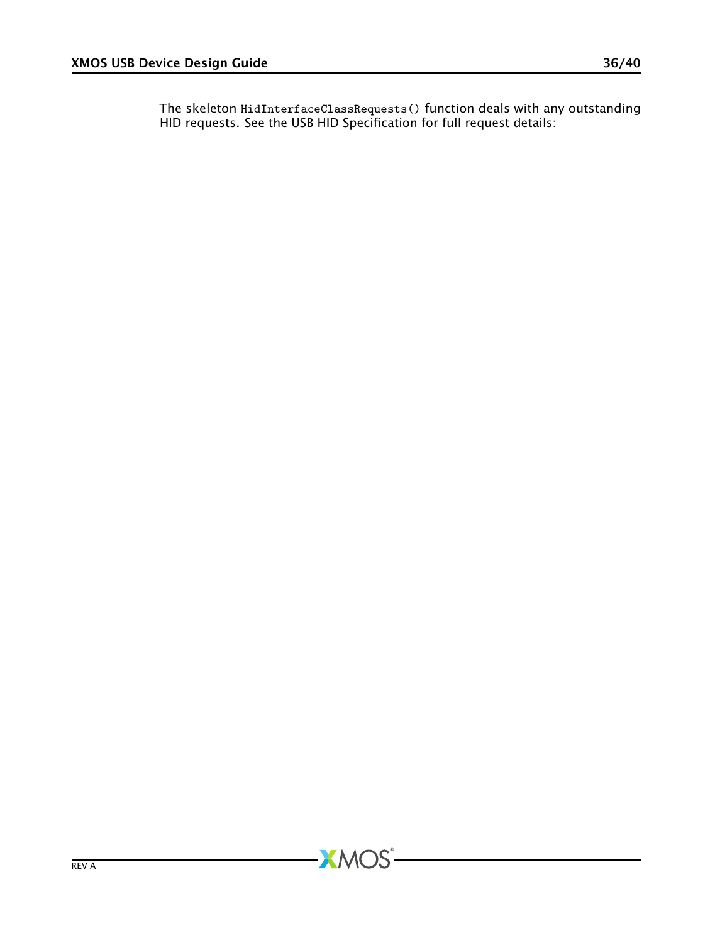The skeleton HidInterfaceClassRequests() function deals with any outstanding HID requests. See the USB HID Specification for full request details: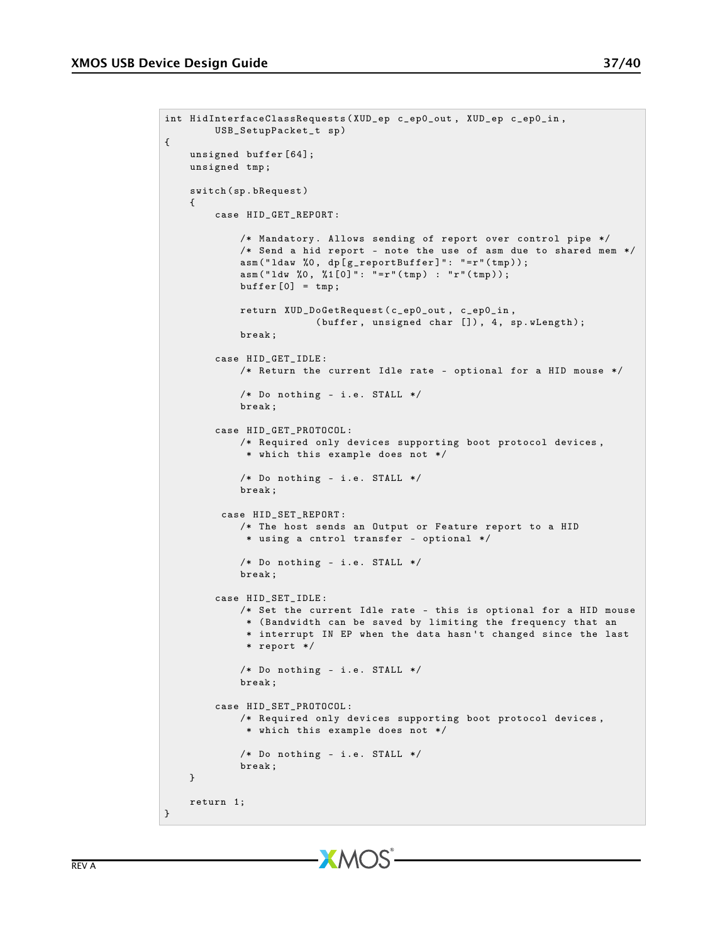{

```
int HidInterfaceClassRequests ( XUD_ep c_ep0_out , XUD_ep c_ep0_in ,
        USB_SetupPacket_t sp )
   unsigned buffer [64];
   unsigned tmp ;
   switch ( sp . bRequest )
   {
        case HID_GET_REPORT :
            /* Mandatory. Allows sending of report over control pipe */
            /* Send a hid report - note the use of asm due to shared mem */
            asm("ldaw %0, dp[g_reportBuffer]": "=r"(tmp));asm ("ldw %0, %1[0]": "=r"(tmp) : "r"(tmp));
            buffer [0] = tmp;return XUD_DoGetRequest ( c_ep0_out , c_ep0_in ,
                        (buffer, unsigned char []), 4, sp.wLength);
            break ;
        case HID_GET_IDLE :
            /* Return the current Idle rate - optional for a HID mouse */
            /* Do nothing - i.e. STALL */
            break ;
        case HID_GET_PROTOCOL :
            /* Required only devices supporting boot protocol devices ,
             * which this example does not */
            /* Do nothing - i.e. STALL */
            break ;
        case HID_SET_REPORT :
           /* The host sends an Output or Feature report to a HID
             * using a cntrol transfer - optional */
            /* Do nothing - i.e. STALL */
            break ;
        case HID_SET_IDLE :
            /* Set the current Idle rate - this is optional for a HID mouse
             * ( Bandwidth can be saved by limiting the frequency that an
             * interrupt IN EP when the data hasn 't changed since the last
             * report */
            /* Do nothing - i.e. STALL */
            break ;
        case HID_SET_PROTOCOL :
           /* Required only devices supporting boot protocol devices ,
             * which this example does not */
            /* Do nothing - i.e. STALL */
            break ;
   }
   return 1;
```
}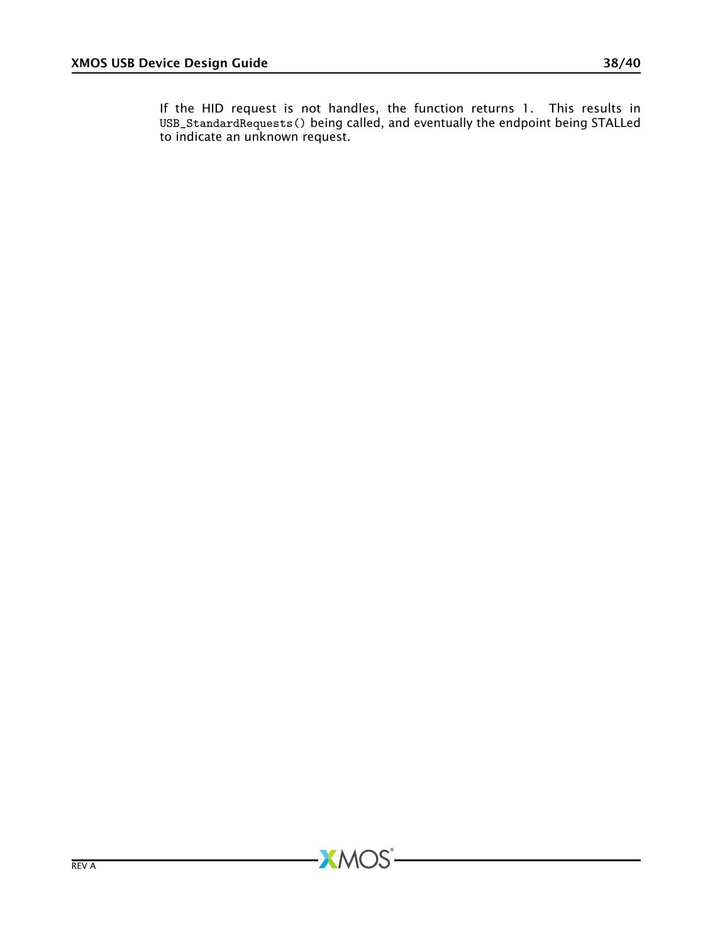If the HID request is not handles, the function returns 1. This results in USB\_StandardRequests() being called, and eventually the endpoint being STALLed to indicate an unknown request.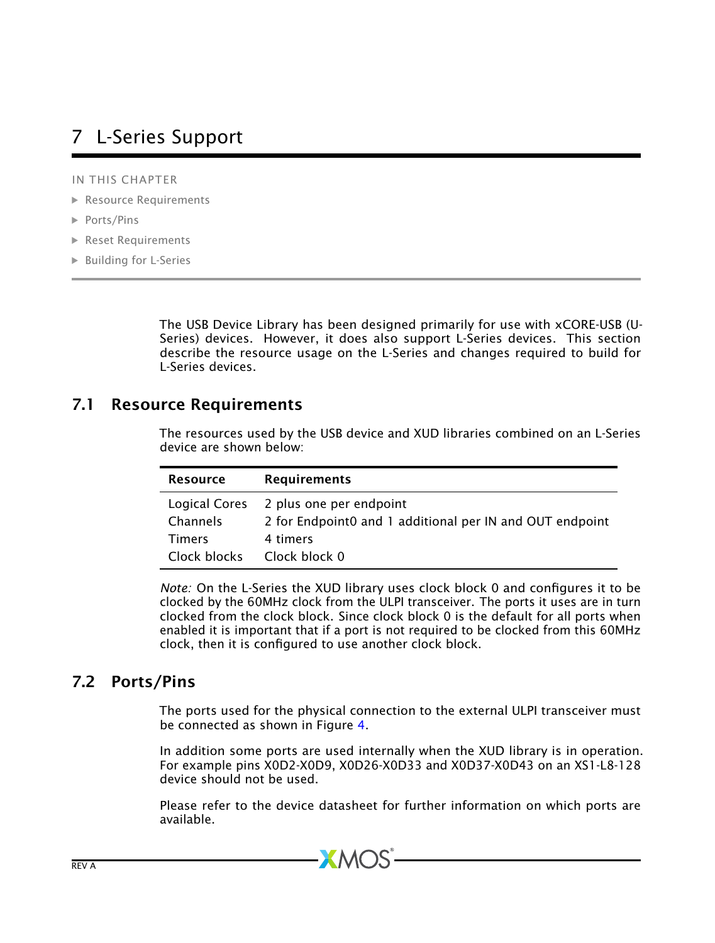# <span id="page-38-0"></span>7 L-Series Support

IN THIS CHAPTER

- · [Resource Requirements](#page-38-1)
- · [Ports/Pins](#page-38-2)
- · [Reset Requirements](#page-39-1)
- · [Building for L-Series](#page-39-2)

The USB Device Library has been designed primarily for use with xCORE-USB (U-Series) devices. However, it does also support L-Series devices. This section describe the resource usage on the L-Series and changes required to build for L-Series devices.

## 7.1 Resource Requirements

<span id="page-38-1"></span>The resources used by the USB device and XUD libraries combined on an L-Series device are shown below:

| <b>Resource</b> | <b>Requirements</b>                                      |
|-----------------|----------------------------------------------------------|
| Logical Cores   | 2 plus one per endpoint                                  |
| Channels        | 2 for Endpoint0 and 1 additional per IN and OUT endpoint |
| <b>Timers</b>   | 4 timers                                                 |
| Clock blocks    | Clock block 0                                            |

*Note:* On the L-Series the XUD library uses clock block 0 and configures it to be clocked by the 60MHz clock from the ULPI transceiver. The ports it uses are in turn clocked from the clock block. Since clock block 0 is the default for all ports when enabled it is important that if a port is not required to be clocked from this 60MHz clock, then it is configured to use another clock block.

# 7.2 Ports/Pins

<span id="page-38-2"></span>The ports used for the physical connection to the external ULPI transceiver must be connected as shown in Figure [4.](#page-39-3)

In addition some ports are used internally when the XUD library is in operation. For example pins X0D2-X0D9, X0D26-X0D33 and X0D37-X0D43 on an XS1-L8-128 device should not be used.

Please refer to the device datasheet for further information on which ports are available.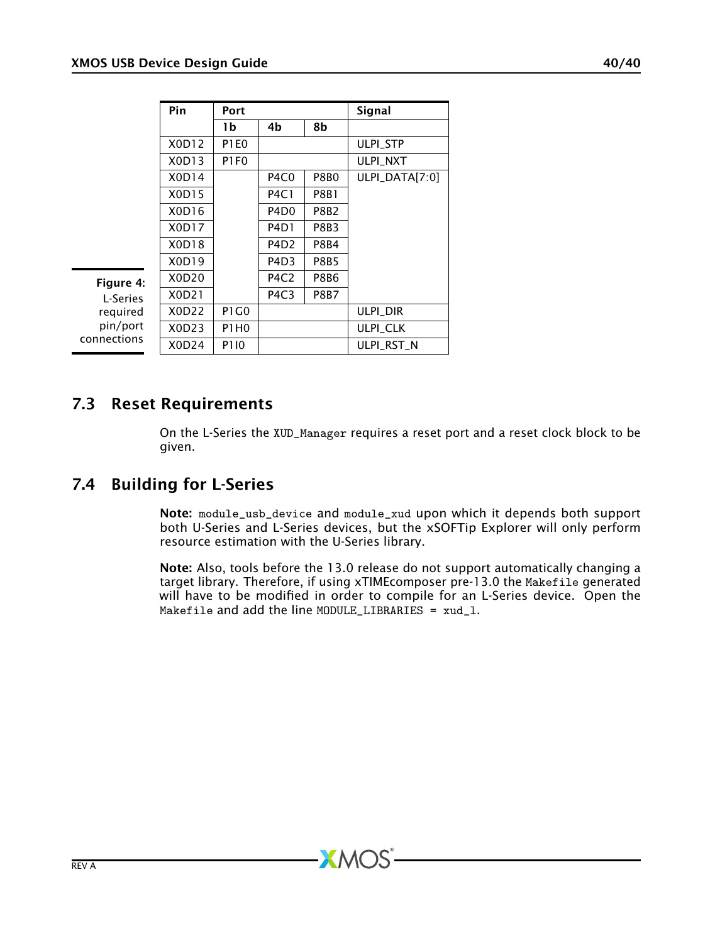<span id="page-39-0"></span>

|          | Pin   | Port             |                               |             | Signal          |
|----------|-------|------------------|-------------------------------|-------------|-----------------|
|          |       | 1b               | 4b                            | 8b          |                 |
|          | X0D12 | <b>P1E0</b>      |                               |             | <b>ULPI STP</b> |
|          | X0D13 | P <sub>1F0</sub> |                               |             | <b>ULPI NXT</b> |
|          | X0D14 |                  | P <sub>4</sub> C <sub>0</sub> | <b>P8B0</b> | ULPI_DATA[7:0]  |
|          | X0D15 |                  | <b>P4C1</b>                   | <b>P8B1</b> |                 |
|          | X0D16 |                  | P <sub>4</sub> D <sub>0</sub> | P8B2        |                 |
|          | X0D17 |                  | P <sub>4</sub> D <sub>1</sub> | <b>P8B3</b> |                 |
|          | X0D18 |                  | P <sub>4</sub> D <sub>2</sub> | P8B4        |                 |
|          | X0D19 |                  | P <sub>4</sub> D <sub>3</sub> | <b>P8B5</b> |                 |
| igure 4: | X0D20 |                  | P <sub>4</sub> C <sub>2</sub> | <b>P8B6</b> |                 |
| L-Series | X0D21 |                  | P <sub>4</sub> C <sub>3</sub> | <b>P8B7</b> |                 |
| reguired | X0D22 | <b>P1G0</b>      |                               |             | <b>ULPI DIR</b> |
| pin/port | X0D23 | P1H <sub>0</sub> |                               |             | <b>ULPI CLK</b> |
| nections | X0D24 | <b>P110</b>      |                               |             | ULPI RST N      |

<span id="page-39-3"></span>Figure 4: required pin/port con

# 7.3 Reset Requirements

<span id="page-39-2"></span><span id="page-39-1"></span>On the L-Series the XUD\_Manager requires a reset port and a reset clock block to be given.

# 7.4 Building for L-Series

Note: module\_usb\_device and module\_xud upon which it depends both support both U-Series and L-Series devices, but the xSOFTip Explorer will only perform resource estimation with the U-Series library.

Note: Also, tools before the 13.0 release do not support automatically changing a target library. Therefore, if using xTIMEcomposer pre-13.0 the Makefile generated will have to be modified in order to compile for an L-Series device. Open the Makefile and add the line MODULE\_LIBRARIES = xud\_l.